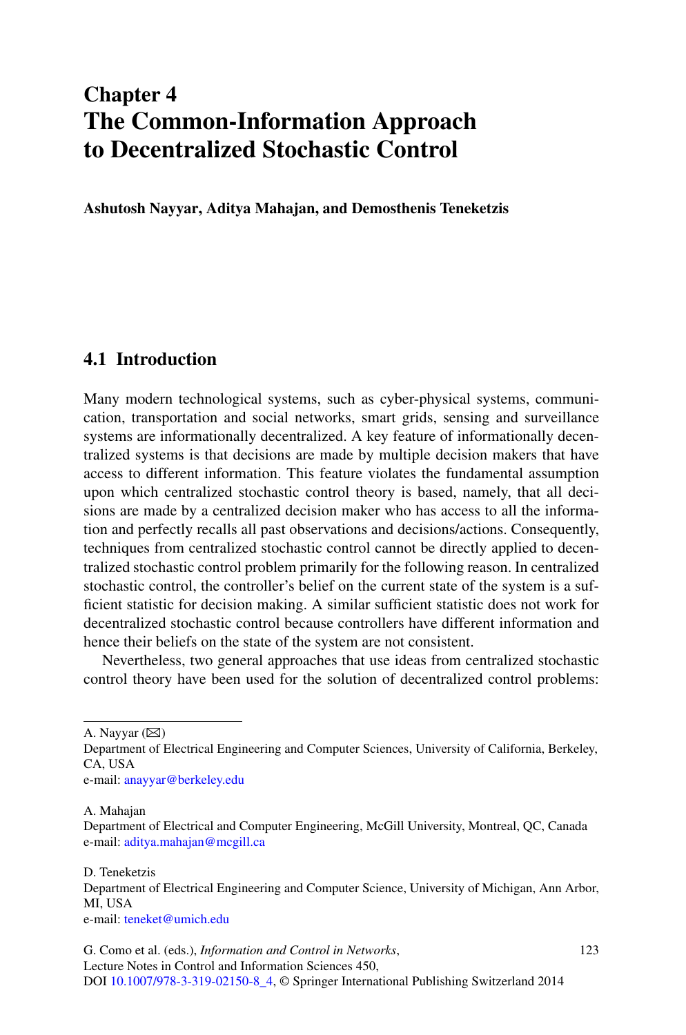# **Chapter 4 The Common-Information Approach to Decentralized Stochastic Control**

<span id="page-0-0"></span>**Ashutosh Nayyar, Aditya Mahajan, and Demosthenis Teneketzis**

## **4.1 Introduction**

Many modern technological systems, such as cyber-physical systems, communication, transportation and social networks, smart grids, sensing and surveillance systems are informationally decentralized. A key feature of informationally decentralized systems is that decisions are made by multiple decision makers that have access to different information. This feature violates the fundamental assumption upon which centralized stochastic control theory is based, namely, that all decisions are made by a centralized decision maker who has access to all the information and perfectly recalls all past observations and decisions/actions. Consequently, techniques from centralized stochastic control cannot be directly applied to decentralized stochastic control problem primarily for the following reason. In centralized stochastic control, the controller's belief on the current state of the system is a sufficient statistic for decision making. A similar sufficient statistic does not work for decentralized stochastic control because controllers have different information and hence their beliefs on the state of the system are not consistent.

Nevertheless, two general approaches that use ideas from centralized stochastic control theory have been used for the solution of decentralized control problems:

A. Nayyar  $(\boxtimes)$ 

e-mail: [anayyar@berkeley.edu](mailto:anayyar@berkeley.edu)

A. Mahajan

D. Teneketzis Department of Electrical Engineering and Computer Science, University of Michigan, Ann Arbor, MI, USA e-mail: [teneket@umich.edu](mailto:teneket@umich.edu)

Department of Electrical Engineering and Computer Sciences, University of California, Berkeley, CA, USA

Department of Electrical and Computer Engineering, McGill University, Montreal, QC, Canada e-mail: [aditya.mahajan@mcgill.ca](mailto:aditya.mahajan@mcgill.ca)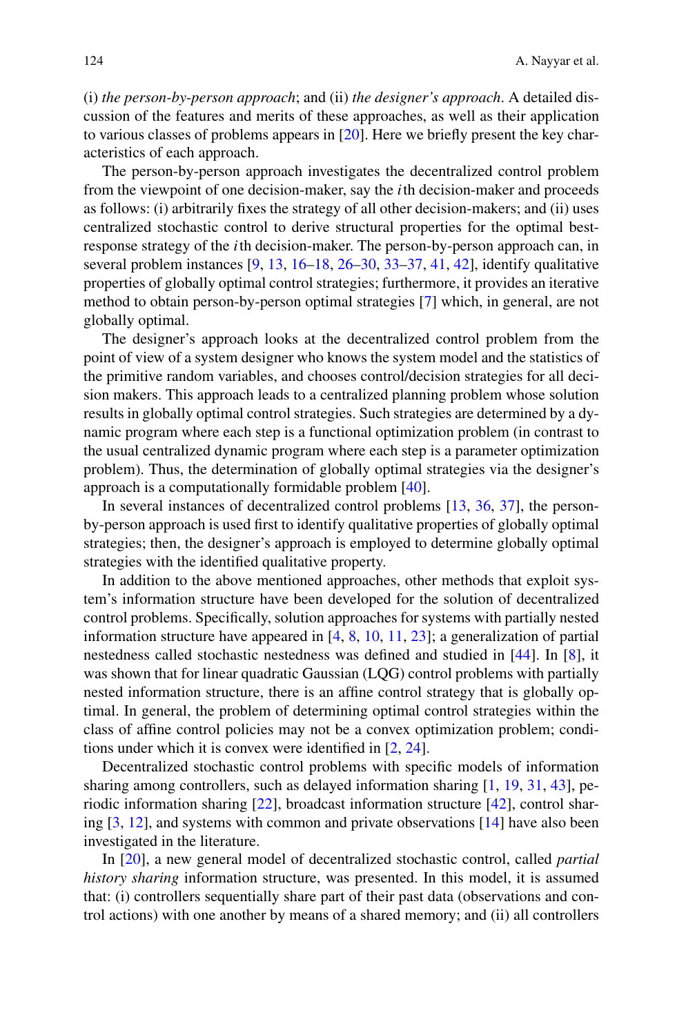(i) *the person-by-person approach*; and (ii) *the designer's approach*. A detailed discussion of the features and merits of these approaches, as well as their application to various classes of problems appears in [\[20](#page-32-0)]. Here we briefly present the key characteristics of each approach.

The person-by-person approach investigates the decentralized control problem from the viewpoint of one decision-maker, say the ith decision-maker and proceeds as follows: (i) arbitrarily fixes the strategy of all other decision-makers; and (ii) uses centralized stochastic control to derive structural properties for the optimal bestresponse strategy of the ith decision-maker. The person-by-person approach can, in several problem instances [\[9](#page-32-1), [13](#page-32-2), [16](#page-32-3)[–18](#page-32-4), [26](#page-33-0)[–30](#page-33-1), [33](#page-33-2)[–37,](#page-33-3) [41,](#page-33-4) [42\]](#page-33-5), identify qualitative properties of globally optimal control strategies; furthermore, it provides an iterative method to obtain person-by-person optimal strategies [[7\]](#page-32-5) which, in general, are not globally optimal.

The designer's approach looks at the decentralized control problem from the point of view of a system designer who knows the system model and the statistics of the primitive random variables, and chooses control/decision strategies for all decision makers. This approach leads to a centralized planning problem whose solution results in globally optimal control strategies. Such strategies are determined by a dynamic program where each step is a functional optimization problem (in contrast to the usual centralized dynamic program where each step is a parameter optimization problem). Thus, the determination of globally optimal strategies via the designer's approach is a computationally formidable problem [\[40](#page-33-6)].

In several instances of decentralized control problems [\[13](#page-32-2), [36,](#page-33-7) [37](#page-33-3)], the personby-person approach is used first to identify qualitative properties of globally optimal strategies; then, the designer's approach is employed to determine globally optimal strategies with the identified qualitative property.

In addition to the above mentioned approaches, other methods that exploit system's information structure have been developed for the solution of decentralized control problems. Specifically, solution approaches for systems with partially nested information structure have appeared in [\[4](#page-32-6), [8](#page-32-7), [10](#page-32-8), [11](#page-32-9), [23](#page-33-8)]; a generalization of partial nestedness called stochastic nestedness was defined and studied in [[44\]](#page-33-9). In [[8\]](#page-32-7), it was shown that for linear quadratic Gaussian (LQG) control problems with partially nested information structure, there is an affine control strategy that is globally optimal. In general, the problem of determining optimal control strategies within the class of affine control policies may not be a convex optimization problem; conditions under which it is convex were identified in [[2,](#page-32-10) [24\]](#page-33-10).

Decentralized stochastic control problems with specific models of information sharing among controllers, such as delayed information sharing [[1,](#page-32-11) [19](#page-32-12), [31](#page-33-11), [43](#page-33-12)], periodic information sharing [\[22](#page-33-13)], broadcast information structure [[42\]](#page-33-5), control sharing [\[3](#page-32-13), [12](#page-32-14)], and systems with common and private observations [\[14](#page-32-15)] have also been investigated in the literature.

In [[20\]](#page-32-0), a new general model of decentralized stochastic control, called *partial history sharing* information structure, was presented. In this model, it is assumed that: (i) controllers sequentially share part of their past data (observations and control actions) with one another by means of a shared memory; and (ii) all controllers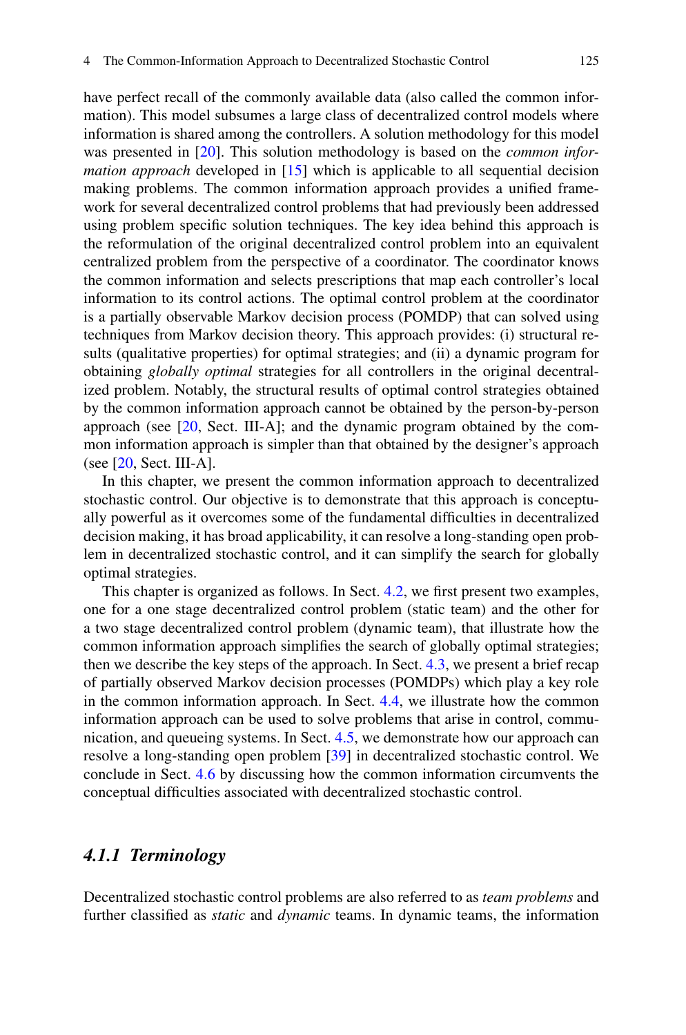have perfect recall of the commonly available data (also called the common information). This model subsumes a large class of decentralized control models where information is shared among the controllers. A solution methodology for this model was presented in [[20\]](#page-32-0). This solution methodology is based on the *common information approach* developed in [[15\]](#page-32-16) which is applicable to all sequential decision making problems. The common information approach provides a unified framework for several decentralized control problems that had previously been addressed using problem specific solution techniques. The key idea behind this approach is the reformulation of the original decentralized control problem into an equivalent centralized problem from the perspective of a coordinator. The coordinator knows the common information and selects prescriptions that map each controller's local information to its control actions. The optimal control problem at the coordinator is a partially observable Markov decision process (POMDP) that can solved using techniques from Markov decision theory. This approach provides: (i) structural results (qualitative properties) for optimal strategies; and (ii) a dynamic program for obtaining *globally optimal* strategies for all controllers in the original decentralized problem. Notably, the structural results of optimal control strategies obtained by the common information approach cannot be obtained by the person-by-person approach (see [\[20](#page-32-0), Sect. III-A]; and the dynamic program obtained by the common information approach is simpler than that obtained by the designer's approach (see  $[20, Sect. III-A].$  $[20, Sect. III-A].$  $[20, Sect. III-A].$ 

In this chapter, we present the common information approach to decentralized stochastic control. Our objective is to demonstrate that this approach is conceptually powerful as it overcomes some of the fundamental difficulties in decentralized decision making, it has broad applicability, it can resolve a long-standing open problem in decentralized stochastic control, and it can simplify the search for globally optimal strategies.

This chapter is organized as follows. In Sect. [4.2,](#page-3-0) we first present two examples, one for a one stage decentralized control problem (static team) and the other for a two stage decentralized control problem (dynamic team), that illustrate how the common information approach simplifies the search of globally optimal strategies; then we describe the key steps of the approach. In Sect. [4.3,](#page-9-0) we present a brief recap of partially observed Markov decision processes (POMDPs) which play a key role in the common information approach. In Sect. [4.4,](#page-11-0) we illustrate how the common information approach can be used to solve problems that arise in control, communication, and queueing systems. In Sect. [4.5,](#page-27-0) we demonstrate how our approach can resolve a long-standing open problem [[39\]](#page-33-14) in decentralized stochastic control. We conclude in Sect. [4.6](#page-30-0) by discussing how the common information circumvents the conceptual difficulties associated with decentralized stochastic control.

### *4.1.1 Terminology*

Decentralized stochastic control problems are also referred to as *team problems* and further classified as *static* and *dynamic* teams. In dynamic teams, the information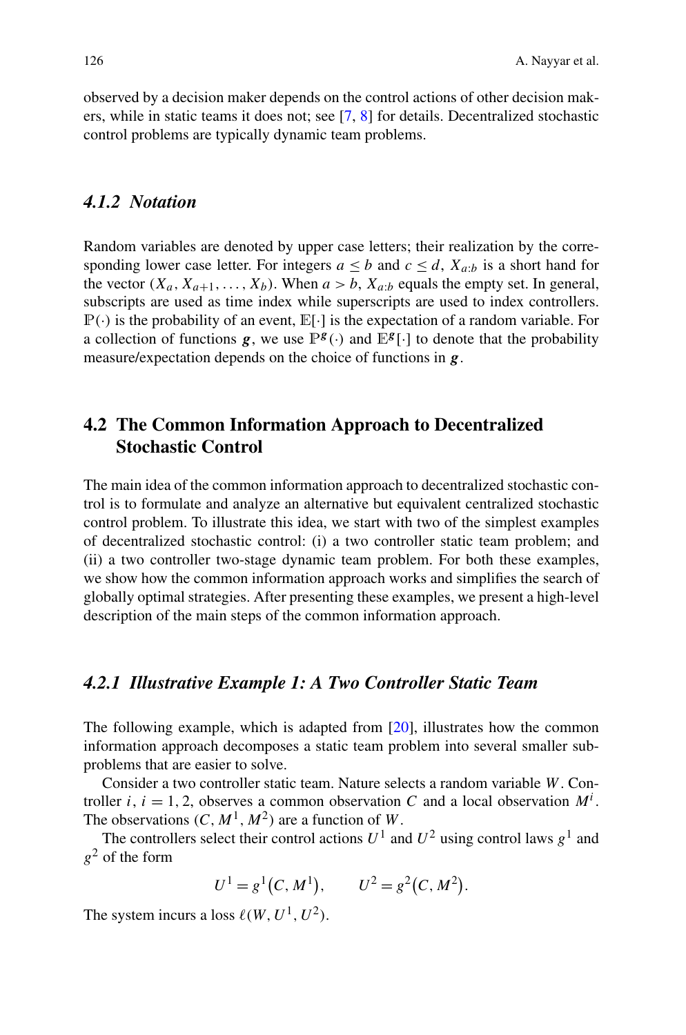observed by a decision maker depends on the control actions of other decision makers, while in static teams it does not; see [[7,](#page-32-5) [8\]](#page-32-7) for details. Decentralized stochastic control problems are typically dynamic team problems.

## *4.1.2 Notation*

<span id="page-3-0"></span>Random variables are denoted by upper case letters; their realization by the corresponding lower case letter. For integers  $a \leq b$  and  $c \leq d$ ,  $X_{a:b}$  is a short hand for the vector  $(X_a, X_{a+1},..., X_b)$ . When  $a > b$ ,  $X_{a:b}$  equals the empty set. In general, subscripts are used as time index while superscripts are used to index controllers.  $\mathbb{P}(\cdot)$  is the probability of an event,  $\mathbb{E}[\cdot]$  is the expectation of a random variable. For a collection of functions  $g$ , we use  $\mathbb{P}^g(\cdot)$  and  $\mathbb{E}^g[\cdot]$  to denote that the probability measure/expectation depends on the choice of functions in g.

## **4.2 The Common Information Approach to Decentralized Stochastic Control**

The main idea of the common information approach to decentralized stochastic control is to formulate and analyze an alternative but equivalent centralized stochastic control problem. To illustrate this idea, we start with two of the simplest examples of decentralized stochastic control: (i) a two controller static team problem; and (ii) a two controller two-stage dynamic team problem. For both these examples, we show how the common information approach works and simplifies the search of globally optimal strategies. After presenting these examples, we present a high-level description of the main steps of the common information approach.

## *4.2.1 Illustrative Example 1: A Two Controller Static Team*

The following example, which is adapted from [\[20\]](#page-32-0), illustrates how the common information approach decomposes a static team problem into several smaller subproblems that are easier to solve.

Consider a two controller static team. Nature selects a random variable W. Controller *i*, *i* = 1, 2, observes a common observation C and a local observation  $M<sup>i</sup>$ . The observations  $(C, M^1, M^2)$  are a function of W.

The controllers select their control actions  $U^1$  and  $U^2$  using control laws  $g^1$  and  $g^2$  of the form

$$
U^1 = g^1(C, M^1), \qquad U^2 = g^2(C, M^2).
$$

The system incurs a loss  $\ell(W, U^1, U^2)$ .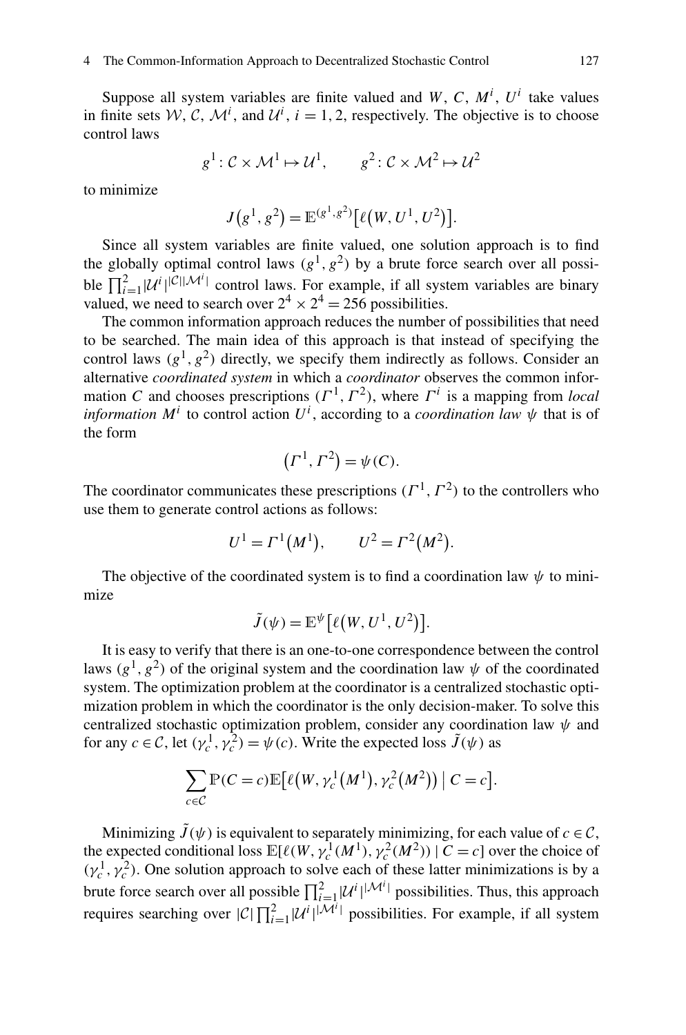Suppose all system variables are finite valued and W, C,  $M^i$ ,  $U^i$  take values in finite sets  $W, C, M^i$ , and  $U^i$ ,  $i = 1, 2$ , respectively. The objective is to choose control laws

$$
g^1: \mathcal{C} \times \mathcal{M}^1 \mapsto \mathcal{U}^1
$$
,  $g^2: \mathcal{C} \times \mathcal{M}^2 \mapsto \mathcal{U}^2$ 

to minimize

$$
J(g^{1}, g^{2}) = \mathbb{E}^{(g^{1}, g^{2})} [\ell(W, U^{1}, U^{2})].
$$

Since all system variables are finite valued, one solution approach is to find the globally optimal control laws  $(g<sup>1</sup>, g<sup>2</sup>)$  by a brute force search over all possible  $\prod_{i=1}^{2} |\mathcal{U}^{i}|^{|\mathcal{C}||\mathcal{M}^{i}|}$  control laws. For example, if all system variables are binary valued, we need to search over  $2^4 \times 2^4 = 256$  possibilities.

The common information approach reduces the number of possibilities that need to be searched. The main idea of this approach is that instead of specifying the control laws  $(g^1, g^2)$  directly, we specify them indirectly as follows. Consider an alternative *coordinated system* in which a *coordinator* observes the common information C and chooses prescriptions  $(\Gamma^1, \Gamma^2)$ , where  $\Gamma^i$  is a mapping from *local information*  $M<sup>i</sup>$  to control action  $U<sup>i</sup>$ , according to a *coordination law*  $\psi$  that is of the form

$$
(\Gamma^1, \Gamma^2) = \psi(C).
$$

The coordinator communicates these prescriptions  $(\Gamma^1, \Gamma^2)$  to the controllers who use them to generate control actions as follows:

$$
U^{1} = \Gamma^{1}(M^{1}), \qquad U^{2} = \Gamma^{2}(M^{2}).
$$

The objective of the coordinated system is to find a coordination law  $\psi$  to minimize

$$
\tilde{J}(\psi) = \mathbb{E}^{\psi} \big[ \ell \big( W, U^1, U^2 \big) \big].
$$

It is easy to verify that there is an one-to-one correspondence between the control laws  $(g<sup>1</sup>, g<sup>2</sup>)$  of the original system and the coordination law  $\psi$  of the coordinated system. The optimization problem at the coordinator is a centralized stochastic optimization problem in which the coordinator is the only decision-maker. To solve this centralized stochastic optimization problem, consider any coordination law  $\psi$  and for any  $c \in \mathcal{C}$ , let  $(\gamma_c^1, \gamma_c^2) = \psi(c)$ . Write the expected loss  $\tilde{J}(\psi)$  as

$$
\sum_{c \in \mathcal{C}} \mathbb{P}(C=c) \mathbb{E} \big[ \ell \big( W, \gamma_c^1 \big( M^1 \big), \gamma_c^2 \big( M^2 \big) \big) \big| C=c \big].
$$

Minimizing  $\tilde{J}(\psi)$  is equivalent to separately minimizing, for each value of  $c \in \mathcal{C}$ , the expected conditional loss  $\mathbb{E}[\ell(W, \gamma_c^1(M^1), \gamma_c^2(M^2)) | C = c]$  over the choice of  $(\gamma_c^1, \gamma_c^2)$ . One solution approach to solve each of these latter minimizations is by a brute force search over all possible  $\prod_{i=1}^{2}|\mathcal{U}^{i}|^{|\mathcal{M}^{i}|}$  possibilities. Thus, this approach requires searching over  $|C| \prod_{i=1}^2 |U^i|^{|\mathcal{M}^i|}$  possibilities. For example, if all system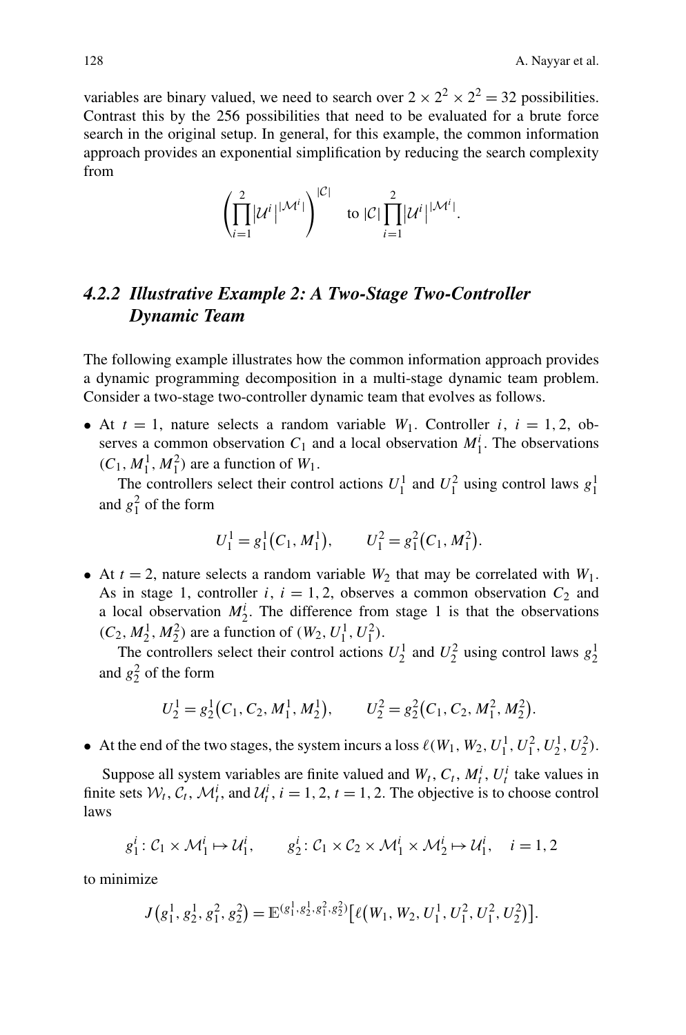variables are binary valued, we need to search over  $2 \times 2^2 \times 2^2 = 32$  possibilities. Contrast this by the 256 possibilities that need to be evaluated for a brute force search in the original setup. In general, for this example, the common information approach provides an exponential simplification by reducing the search complexity from

$$
\left(\prod_{i=1}^2 |\mathcal{U}^i|^{|\mathcal{M}^i|}\right)^{|\mathcal{C}|} \quad \text{to } |\mathcal{C}| \prod_{i=1}^2 |\mathcal{U}^i|^{|\mathcal{M}^i|}.
$$

## <span id="page-5-0"></span>*4.2.2 Illustrative Example 2: A Two-Stage Two-Controller Dynamic Team*

The following example illustrates how the common information approach provides a dynamic programming decomposition in a multi-stage dynamic team problem. Consider a two-stage two-controller dynamic team that evolves as follows.

• At  $t = 1$ , nature selects a random variable  $W_1$ . Controller i,  $i = 1, 2$ , observes a common observation  $C_1$  and a local observation  $M_1^i$ . The observations  $(C_1, M_1^1, M_1^2)$  are a function of  $W_1$ .

The controllers select their control actions  $U_1^1$  and  $U_1^2$  using control laws  $g_1^1$ and  $g_1^2$  of the form

$$
U_1^1 = g_1^1(C_1, M_1^1), \qquad U_1^2 = g_1^2(C_1, M_1^2).
$$

• At  $t = 2$ , nature selects a random variable  $W_2$  that may be correlated with  $W_1$ . As in stage 1, controller i,  $i = 1, 2$ , observes a common observation  $C_2$  and a local observation  $M_2^i$ . The difference from stage 1 is that the observations  $(C_2, M_2^1, M_2^2)$  are a function of  $(W_2, U_1^1, U_1^2)$ .

The controllers select their control actions  $U_2^1$  and  $U_2^2$  using control laws  $g_2^1$ and  $g_2^2$  of the form

$$
U_2^1 = g_2^1(C_1, C_2, M_1^1, M_2^1), \qquad U_2^2 = g_2^2(C_1, C_2, M_1^2, M_2^2).
$$

• At the end of the two stages, the system incurs a loss  $\ell(W_1, W_2, U_1^1, U_1^2, U_2^1, U_2^2)$ .

Suppose all system variables are finite valued and  $W_t$ ,  $C_t$ ,  $M_t^i$ ,  $U_t^i$  take values in finite sets  $W_t$ ,  $C_t$ ,  $M_t^i$ , and  $U_t^i$ ,  $i = 1, 2, t = 1, 2$ . The objective is to choose control laws

$$
g_1^i: C_1 \times \mathcal{M}_1^i \mapsto \mathcal{U}_1^i, \qquad g_2^i: C_1 \times C_2 \times \mathcal{M}_1^i \times \mathcal{M}_2^i \mapsto \mathcal{U}_1^i, \quad i = 1, 2
$$

to minimize

$$
J(g_1^1, g_2^1, g_1^2, g_2^2) = \mathbb{E}^{(g_1^1, g_2^1, g_1^2, g_2^2)} \big[ \ell(W_1, W_2, U_1^1, U_1^2, U_1^2, U_2^2) \big].
$$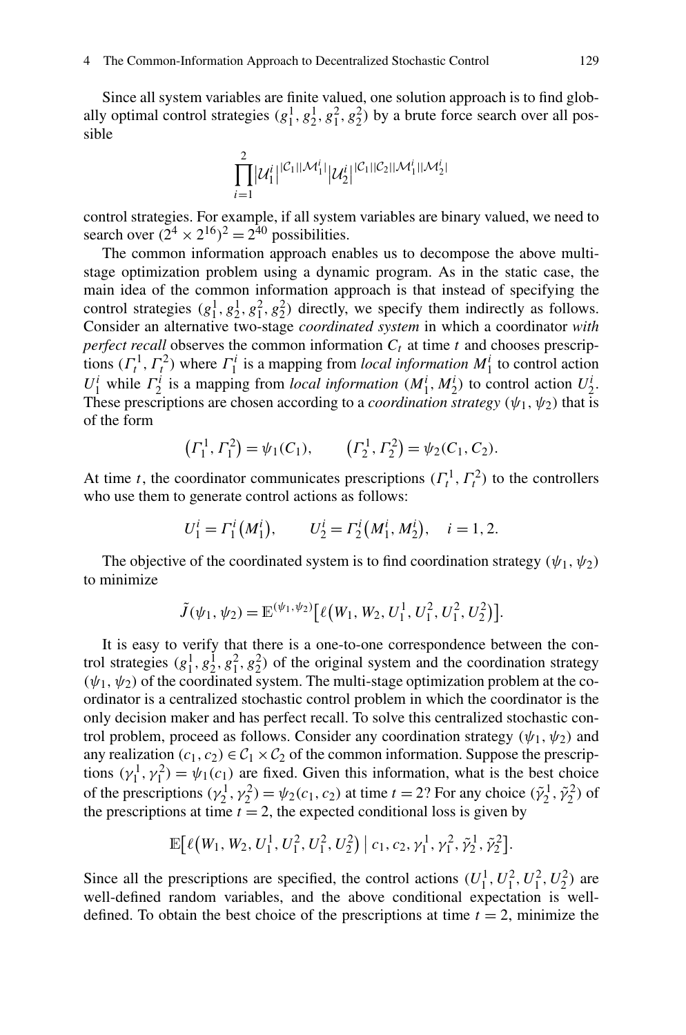Since all system variables are finite valued, one solution approach is to find globally optimal control strategies  $(g_1^1, g_2^1, g_1^2, g_2^2)$  by a brute force search over all possible

$$
\prod_{i=1}^2\bigl|{\mathcal U}_1^i\bigr|^{|{\mathcal C}_1||{\mathcal M}_1^i|}\bigl|{\mathcal U}_2^i\bigr|^{|{\mathcal C}_1||{\mathcal C}_2||{\mathcal M}_1^i||{\mathcal M}_2^i|}
$$

control strategies. For example, if all system variables are binary valued, we need to search over  $(2^4 \times 2^{16})^2 = 2^{40}$  possibilities.

The common information approach enables us to decompose the above multistage optimization problem using a dynamic program. As in the static case, the main idea of the common information approach is that instead of specifying the control strategies  $(g_1^1, g_2^1, g_1^2, g_2^2)$  directly, we specify them indirectly as follows. Consider an alternative two-stage *coordinated system* in which a coordinator *with perfect recall* observes the common information  $C_t$  at time t and chooses prescriptions  $(\Gamma_t^1, \Gamma_t^2)$  where  $\Gamma_1^i$  is a mapping from *local information*  $M_1^i$  to control action  $U_1^i$  while  $\Gamma_2^i$  is a mapping from *local information*  $(M_1^i, M_2^i)$  to control action  $U_2^i$ . These prescriptions are chosen according to a *coordination strategy* ( $\psi_1$ ,  $\psi_2$ ) that is of the form

$$
(\Gamma_1^1, \Gamma_1^2) = \psi_1(C_1), \qquad (\Gamma_2^1, \Gamma_2^2) = \psi_2(C_1, C_2).
$$

At time t, the coordinator communicates prescriptions  $(\Gamma_t^1, \Gamma_t^2)$  to the controllers who use them to generate control actions as follows:

$$
U_1^i = \Gamma_1^i(M_1^i), \qquad U_2^i = \Gamma_2^i(M_1^i, M_2^i), \quad i = 1, 2.
$$

The objective of the coordinated system is to find coordination strategy  $(\psi_1, \psi_2)$ to minimize

$$
\tilde{J}(\psi_1, \psi_2) = \mathbb{E}^{(\psi_1, \psi_2)} [\ell(W_1, W_2, U_1^1, U_1^2, U_1^2, U_2^2)].
$$

It is easy to verify that there is a one-to-one correspondence between the control strategies  $(g_1^1, g_2^1, g_1^2, g_2^2)$  of the original system and the coordination strategy  $(\psi_1, \psi_2)$  of the coordinated system. The multi-stage optimization problem at the coordinator is a centralized stochastic control problem in which the coordinator is the only decision maker and has perfect recall. To solve this centralized stochastic control problem, proceed as follows. Consider any coordination strategy  $(\psi_1, \psi_2)$  and any realization  $(c_1, c_2) \in C_1 \times C_2$  of the common information. Suppose the prescriptions  $(\gamma_1^1, \gamma_1^2) = \psi_1(c_1)$  are fixed. Given this information, what is the best choice of the prescriptions  $(\gamma_2^1, \gamma_2^2) = \psi_2(c_1, c_2)$  at time  $t = 2$ ? For any choice  $(\tilde{\gamma}_2^1, \tilde{\gamma}_2^2)$  of the prescriptions at time  $t = 2$ , the expected conditional loss is given by

$$
\mathbb{E}\big[\ell(W_1, W_2, U_1^1, U_1^2, U_1^2, U_2^2)\big| c_1, c_2, \gamma_1^1, \gamma_1^2, \tilde{\gamma}_2^1, \tilde{\gamma}_2^2\big].
$$

Since all the prescriptions are specified, the control actions  $(U_1^1, U_1^2, U_1^2, U_2^2)$  are well-defined random variables, and the above conditional expectation is welldefined. To obtain the best choice of the prescriptions at time  $t = 2$ , minimize the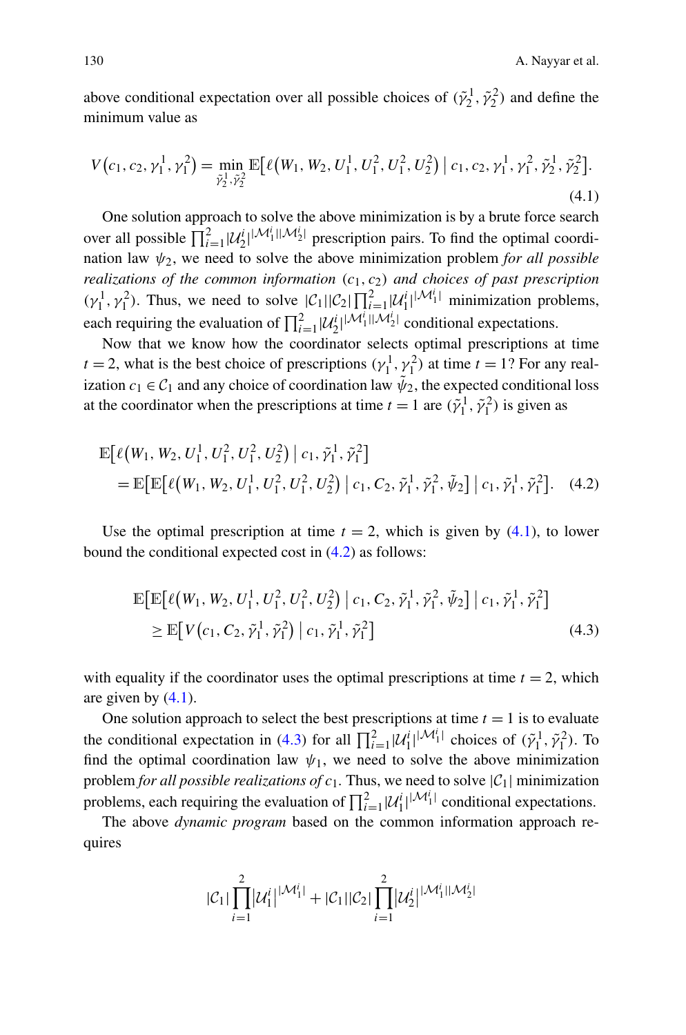<span id="page-7-0"></span>above conditional expectation over all possible choices of  $(\tilde{\gamma}_2^1, \tilde{\gamma}_2^2)$  and define the minimum value as

$$
V(c_1, c_2, \gamma_1^1, \gamma_1^2) = \min_{\tilde{\gamma}_2^1, \tilde{\gamma}_2^2} \mathbb{E}\big[\ell\big(W_1, W_2, U_1^1, U_1^2, U_1^2, U_2^2\big) \, \big| \, c_1, c_2, \gamma_1^1, \gamma_1^2, \tilde{\gamma}_2^1, \tilde{\gamma}_2^2\big].\tag{4.1}
$$

One solution approach to solve the above minimization is by a brute force search over all possible  $\prod_{i=1}^2 |\mathcal{U}_2^i|^{|\mathcal{M}_1^i||\mathcal{M}_2^i|}$  prescription pairs. To find the optimal coordination law  $\psi_2$ , we need to solve the above minimization problem *for all possible realizations of the common information*  $(c_1, c_2)$  *and choices of past prescription*  $(\gamma_1^1, \gamma_1^2)$ . Thus, we need to solve  $|\mathcal{C}_1||\mathcal{C}_2|\prod_{i=1}^2|\mathcal{U}_1^i|^{|\mathcal{M}_1^i|}$  minimization problems, each requiring the evaluation of  $\prod_{i=1}^2 |\mathcal{U}_2^i|^{|\mathcal{M}_1^i|^{|\mathcal{M}_2^i|}$  conditional expectations.

Now that we know how the coordinator selects optimal prescriptions at time  $t = 2$ , what is the best choice of prescriptions  $(\gamma_1^1, \gamma_1^2)$  at time  $t = 1$ ? For any realization  $c_1 \in C_1$  and any choice of coordination law  $\tilde{\psi}_2$ , the expected conditional loss at the coordinator when the prescriptions at time  $t = 1$  are  $(\tilde{\gamma}_1^1, \tilde{\gamma}_1^2)$  is given as

<span id="page-7-1"></span>
$$
\mathbb{E}\big[\ell(W_1, W_2, U_1^1, U_1^2, U_1^2, U_2^2) \, \big| \, c_1, \tilde{\gamma}_1^1, \tilde{\gamma}_1^2\big] \n= \mathbb{E}\big[\mathbb{E}\big[\ell(W_1, W_2, U_1^1, U_1^2, U_1^2, U_2^2) \, \big| \, c_1, C_2, \tilde{\gamma}_1^1, \tilde{\gamma}_1^2, \tilde{\psi}_2\big] \, \big| \, c_1, \tilde{\gamma}_1^1, \tilde{\gamma}_1^2\big].
$$
\n(4.2)

Use the optimal prescription at time  $t = 2$ , which is given by [\(4.1\)](#page-7-0), to lower bound the conditional expected cost in [\(4.2](#page-7-1)) as follows:

<span id="page-7-2"></span>
$$
\mathbb{E}\big[\mathbb{E}\big[\ell(W_1, W_2, U_1^1, U_1^2, U_1^2, U_2^2\big) \, \big| \, c_1, C_2, \tilde{\gamma}_1^1, \tilde{\gamma}_1^2, \tilde{\psi}_2\big] \, \big| \, c_1, \tilde{\gamma}_1^1, \tilde{\gamma}_1^2\big] \newline \ge \mathbb{E}\big[\,V\big(c_1, C_2, \tilde{\gamma}_1^1, \tilde{\gamma}_1^2\big) \, \big| \, c_1, \tilde{\gamma}_1^1, \tilde{\gamma}_1^2\big] \tag{4.3}
$$

with equality if the coordinator uses the optimal prescriptions at time  $t = 2$ , which are given by  $(4.1)$ .

One solution approach to select the best prescriptions at time  $t = 1$  is to evaluate the conditional expectation in ([4.3](#page-7-2)) for all  $\prod_{i=1}^{2} |\mathcal{U}_{1}^{i}|^{|\mathcal{M}_{1}^{i}|}$  choices of  $(\tilde{\gamma}_{1}^{1}, \tilde{\gamma}_{1}^{2})$ . To find the optimal coordination law  $\psi_1$ , we need to solve the above minimization problem *for all possible realizations of*  $c_1$ . Thus, we need to solve  $|\mathcal{C}_1|$  minimization problems, each requiring the evaluation of  $\prod_{i=1}^{2} |\mathcal{U}_1^i|^{|\mathcal{M}_1^i|}$  conditional expectations.

The above *dynamic program* based on the common information approach requires

$$
|\mathcal{C}_1| \prod_{i=1}^2 |\mathcal{U}_1^i|^{|\mathcal{M}_1^i|} + |\mathcal{C}_1| |\mathcal{C}_2| \prod_{i=1}^2 |\mathcal{U}_2^i|^{|\mathcal{M}_1^i| |\mathcal{M}_2^i|}
$$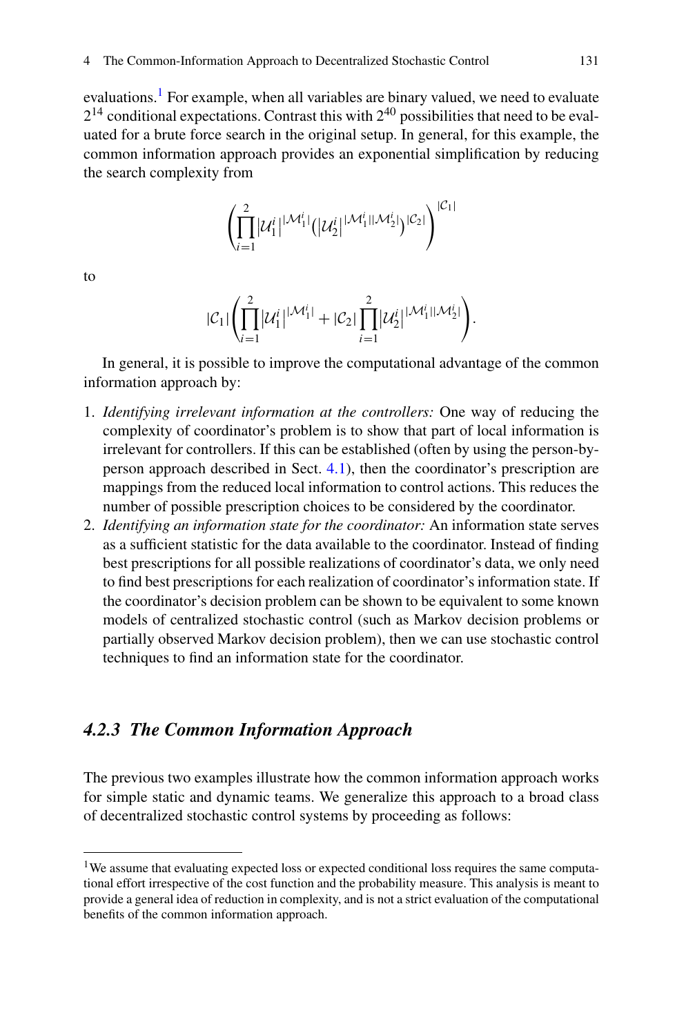evaluations.[1](#page-8-0) For example, when all variables are binary valued, we need to evaluate  $2^{14}$  conditional expectations. Contrast this with  $2^{40}$  possibilities that need to be evaluated for a brute force search in the original setup. In general, for this example, the common information approach provides an exponential simplification by reducing the search complexity from

$$
\left(\prod_{i=1}^{2}|\mathcal{U}_{1}^{i}|^{|\mathcal{M}_{1}^{i}|}(|\mathcal{U}_{2}^{i}|^{|\mathcal{M}_{1}^{i}|^{|\mathcal{M}_{2}^{i}|}})^{|\mathcal{C}_{2}|}\right)^{|\mathcal{C}_{1}|}
$$

to

$$
|\mathcal{C}_1| \left( \prod_{i=1}^2 |\mathcal{U}_1^i|^{|\mathcal{M}_1^i|} + |\mathcal{C}_2| \prod_{i=1}^2 |\mathcal{U}_2^i|^{|\mathcal{M}_1^i| |\mathcal{M}_2^i|} \right).
$$

In general, it is possible to improve the computational advantage of the common information approach by:

- 1. *Identifying irrelevant information at the controllers:* One way of reducing the complexity of coordinator's problem is to show that part of local information is irrelevant for controllers. If this can be established (often by using the person-byperson approach described in Sect. [4.1\)](#page-0-0), then the coordinator's prescription are mappings from the reduced local information to control actions. This reduces the number of possible prescription choices to be considered by the coordinator.
- <span id="page-8-1"></span>2. *Identifying an information state for the coordinator:* An information state serves as a sufficient statistic for the data available to the coordinator. Instead of finding best prescriptions for all possible realizations of coordinator's data, we only need to find best prescriptions for each realization of coordinator's information state. If the coordinator's decision problem can be shown to be equivalent to some known models of centralized stochastic control (such as Markov decision problems or partially observed Markov decision problem), then we can use stochastic control techniques to find an information state for the coordinator.

## <span id="page-8-0"></span>*4.2.3 The Common Information Approach*

The previous two examples illustrate how the common information approach works for simple static and dynamic teams. We generalize this approach to a broad class of decentralized stochastic control systems by proceeding as follows:

<sup>&</sup>lt;sup>1</sup>We assume that evaluating expected loss or expected conditional loss requires the same computational effort irrespective of the cost function and the probability measure. This analysis is meant to provide a general idea of reduction in complexity, and is not a strict evaluation of the computational benefits of the common information approach.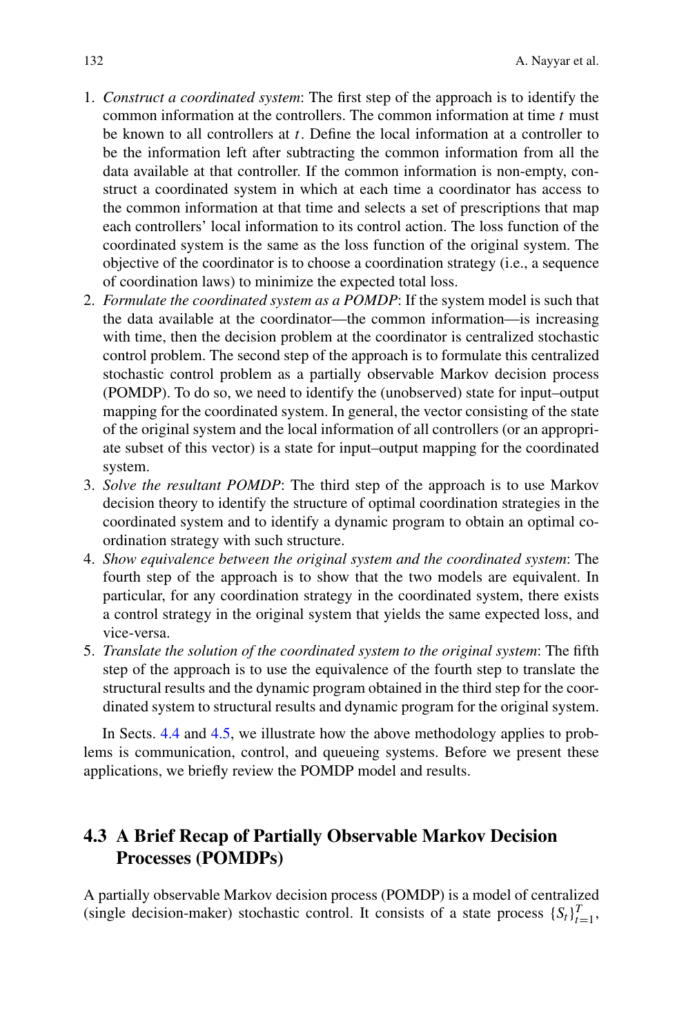- 1. *Construct a coordinated system*: The first step of the approach is to identify the common information at the controllers. The common information at time  $t$  must be known to all controllers at t. Define the local information at a controller to be the information left after subtracting the common information from all the data available at that controller. If the common information is non-empty, construct a coordinated system in which at each time a coordinator has access to the common information at that time and selects a set of prescriptions that map each controllers' local information to its control action. The loss function of the coordinated system is the same as the loss function of the original system. The objective of the coordinator is to choose a coordination strategy (i.e., a sequence of coordination laws) to minimize the expected total loss.
- 2. *Formulate the coordinated system as a POMDP*: If the system model is such that the data available at the coordinator—the common information—is increasing with time, then the decision problem at the coordinator is centralized stochastic control problem. The second step of the approach is to formulate this centralized stochastic control problem as a partially observable Markov decision process (POMDP). To do so, we need to identify the (unobserved) state for input–output mapping for the coordinated system. In general, the vector consisting of the state of the original system and the local information of all controllers (or an appropriate subset of this vector) is a state for input–output mapping for the coordinated system.
- 3. *Solve the resultant POMDP*: The third step of the approach is to use Markov decision theory to identify the structure of optimal coordination strategies in the coordinated system and to identify a dynamic program to obtain an optimal coordination strategy with such structure.
- 4. *Show equivalence between the original system and the coordinated system*: The fourth step of the approach is to show that the two models are equivalent. In particular, for any coordination strategy in the coordinated system, there exists a control strategy in the original system that yields the same expected loss, and vice-versa.
- 5. *Translate the solution of the coordinated system to the original system*: The fifth step of the approach is to use the equivalence of the fourth step to translate the structural results and the dynamic program obtained in the third step for the coordinated system to structural results and dynamic program for the original system.

<span id="page-9-0"></span>In Sects. [4.4](#page-11-0) and [4.5](#page-27-0), we illustrate how the above methodology applies to problems is communication, control, and queueing systems. Before we present these applications, we briefly review the POMDP model and results.

## **4.3 A Brief Recap of Partially Observable Markov Decision Processes (POMDPs)**

A partially observable Markov decision process (POMDP) is a model of centralized (single decision-maker) stochastic control. It consists of a state process  $\{S_t\}_{t=1}^T$ ,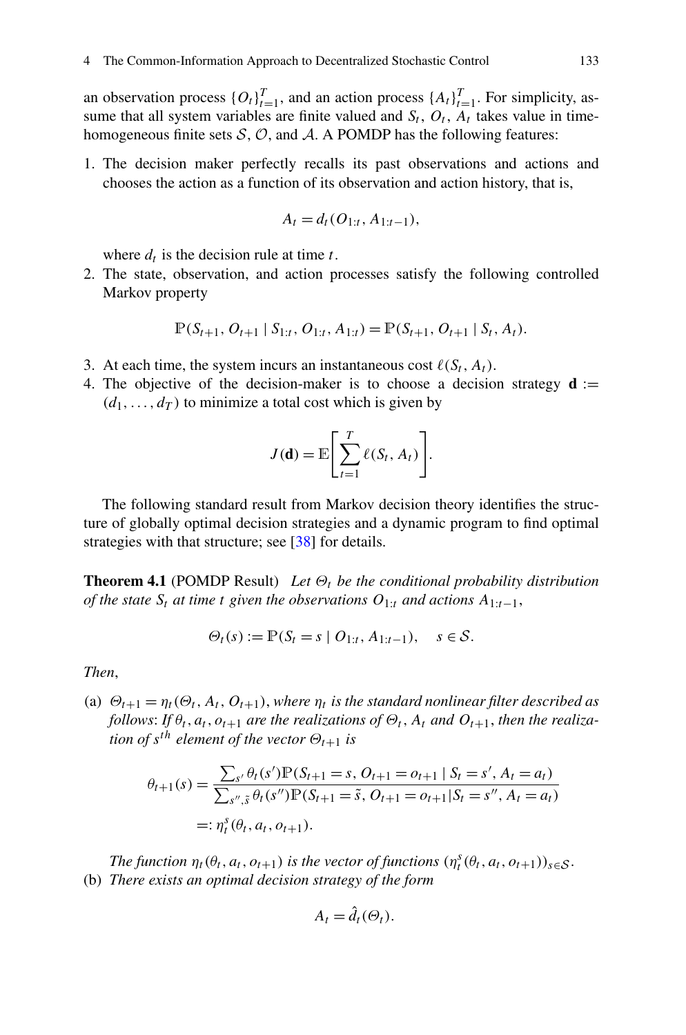an observation process  $\{O_t\}_{t=1}^T$ , and an action process  $\{A_t\}_{t=1}^T$ . For simplicity, assume that all system variables are finite valued and  $S_t$ ,  $O_t$ ,  $A_t$  takes value in timehomogeneous finite sets  $S$ ,  $O$ , and  $A$ . A POMDP has the following features:

1. The decision maker perfectly recalls its past observations and actions and chooses the action as a function of its observation and action history, that is,

$$
A_t = d_t(O_{1:t}, A_{1:t-1}),
$$

where  $d_t$  is the decision rule at time t.

2. The state, observation, and action processes satisfy the following controlled Markov property

$$
\mathbb{P}(S_{t+1}, O_{t+1} | S_{1:t}, O_{1:t}, A_{1:t}) = \mathbb{P}(S_{t+1}, O_{t+1} | S_t, A_t).
$$

- 3. At each time, the system incurs an instantaneous cost  $\ell(S_t, A_t)$ .
- 4. The objective of the decision-maker is to choose a decision strategy  $\mathbf{d}$  :=  $(d_1, \ldots, d_T)$  to minimize a total cost which is given by

<span id="page-10-0"></span>
$$
J(\mathbf{d}) = \mathbb{E}\Bigg[\sum_{t=1}^T \ell(S_t, A_t)\Bigg].
$$

The following standard result from Markov decision theory identifies the structure of globally optimal decision strategies and a dynamic program to find optimal strategies with that structure; see [\[38](#page-33-15)] for details.

**Theorem 4.1** (POMDP Result) Let  $\Theta_t$  be the conditional probability distribution *of the state*  $S_t$  *at time t given the observations*  $O_{1:t}$  *and actions*  $A_{1:t-1}$ ,

$$
\Theta_t(s) := \mathbb{P}(S_t = s \mid O_{1:t}, A_{1:t-1}), \quad s \in \mathcal{S}.
$$

*Then*,

(a)  $\Theta_{t+1} = \eta_t(\Theta_t, A_t, O_{t+1}),$  *where*  $\eta_t$  *is the standard nonlinear filter described as follows: If*  $\theta_t$ ,  $a_t$ ,  $o_{t+1}$  *are the realizations of*  $\Theta_t$ ,  $A_t$  *and*  $O_{t+1}$ *, then the realiza-* $\emph{tion of $\mathcal{s}^{th}$ element of the vector $\Theta_{t+1}$ is}$ 

$$
\theta_{t+1}(s) = \frac{\sum_{s'} \theta_t(s') \mathbb{P}(S_{t+1} = s, O_{t+1} = o_{t+1} | S_t = s', A_t = a_t)}{\sum_{s'', \tilde{s}} \theta_t(s'') \mathbb{P}(S_{t+1} = \tilde{s}, O_{t+1} = o_{t+1} | S_t = s'', A_t = a_t)}
$$
  
=:  $\eta_t^s(\theta_t, a_t, o_{t+1}).$ 

*The function*  $\eta_t(\theta_t, a_t, o_{t+1})$  *is the vector of functions*  $(\eta_t^s(\theta_t, a_t, o_{t+1}))_{s \in S}$ . (b) *There exists an optimal decision strategy of the form*

$$
A_t = \hat{d}_t(\Theta_t).
$$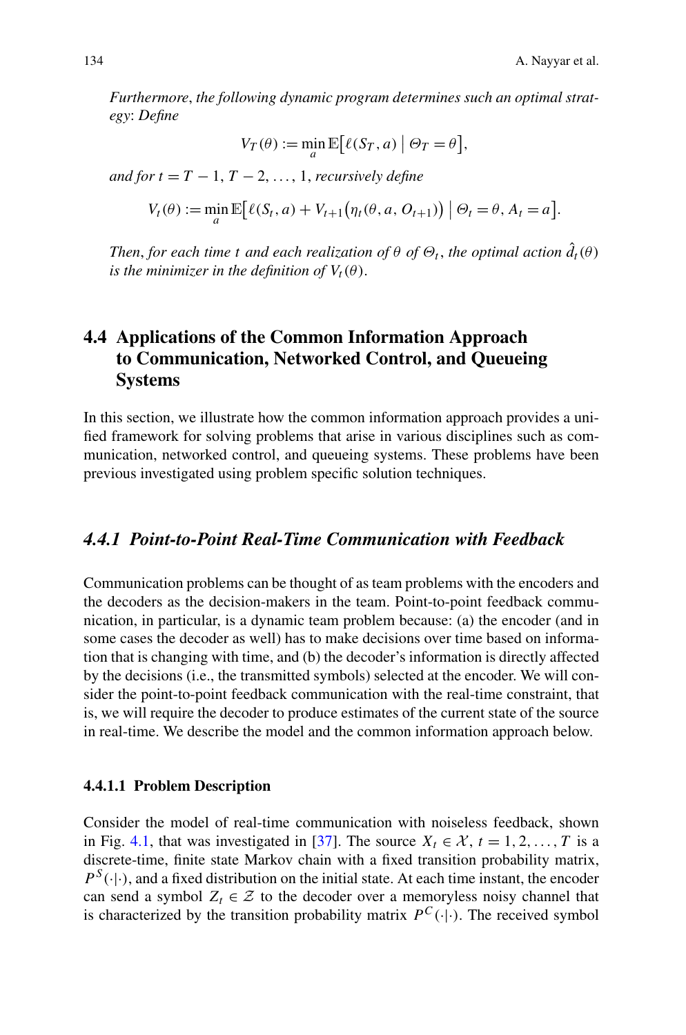*Furthermore*, *the following dynamic program determines such an optimal strategy*: *Define*

$$
V_T(\theta) := \min_a \mathbb{E}\big[\ell(S_T, a) \mid \Theta_T = \theta\big],
$$

*and for*  $t = T - 1, T - 2, ..., 1$ , *recursively define* 

$$
V_t(\theta) := \min_a \mathbb{E}\big[\ell(S_t, a) + V_{t+1}\big(\eta_t(\theta, a, O_{t+1})\big) \,|\, \Theta_t = \theta, A_t = a\big].
$$

*Then, for each time t and each realization of*  $\theta$  *of*  $\Theta_t$ *, the optimal action*  $\hat{d}_t(\theta)$ *is the minimizer in the definition of*  $V_t(\theta)$ .

## <span id="page-11-0"></span>**4.4 Applications of the Common Information Approach to Communication, Networked Control, and Queueing Systems**

<span id="page-11-1"></span>In this section, we illustrate how the common information approach provides a unified framework for solving problems that arise in various disciplines such as communication, networked control, and queueing systems. These problems have been previous investigated using problem specific solution techniques.

## *4.4.1 Point-to-Point Real-Time Communication with Feedback*

Communication problems can be thought of as team problems with the encoders and the decoders as the decision-makers in the team. Point-to-point feedback communication, in particular, is a dynamic team problem because: (a) the encoder (and in some cases the decoder as well) has to make decisions over time based on information that is changing with time, and (b) the decoder's information is directly affected by the decisions (i.e., the transmitted symbols) selected at the encoder. We will consider the point-to-point feedback communication with the real-time constraint, that is, we will require the decoder to produce estimates of the current state of the source in real-time. We describe the model and the common information approach below.

#### **4.4.1.1 Problem Description**

Consider the model of real-time communication with noiseless feedback, shown in Fig. [4.1](#page-12-0), that was investigated in [[37\]](#page-33-3). The source  $X_t \in \mathcal{X}, t = 1, 2, \ldots, T$  is a discrete-time, finite state Markov chain with a fixed transition probability matrix,  $P^{S}(\cdot|\cdot)$ , and a fixed distribution on the initial state. At each time instant, the encoder can send a symbol  $Z_t \in \mathcal{Z}$  to the decoder over a memoryless noisy channel that is characterized by the transition probability matrix  $P^C(\cdot|\cdot)$ . The received symbol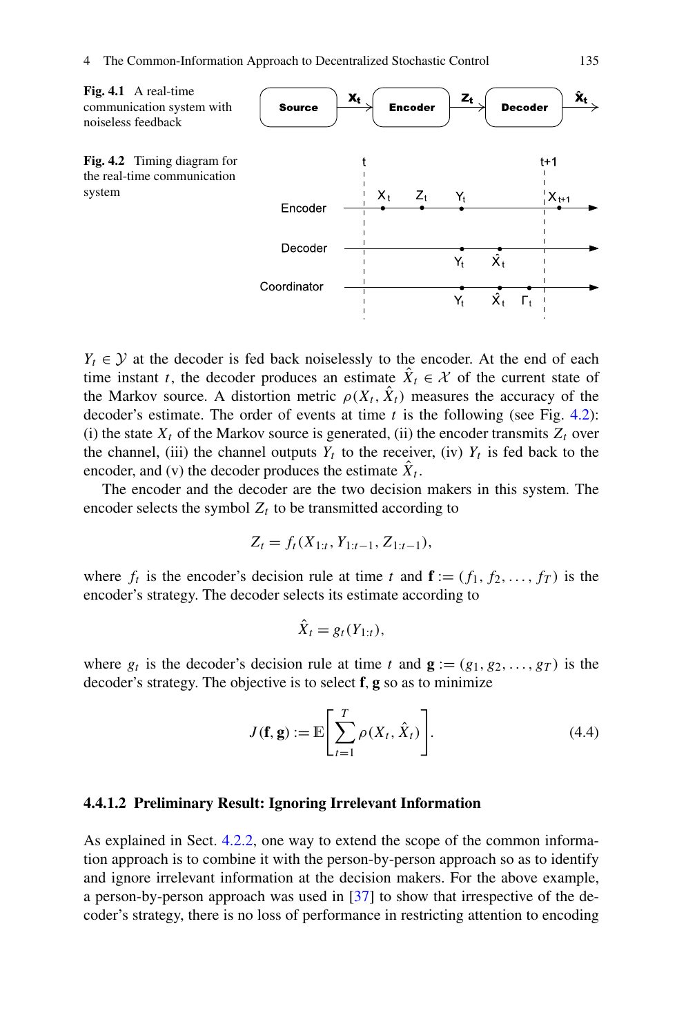<span id="page-12-1"></span><span id="page-12-0"></span>

 $Y_t \in \mathcal{Y}$  at the decoder is fed back noiselessly to the encoder. At the end of each time instant t, the decoder produces an estimate  $\hat{X}_t \in \mathcal{X}$  of the current state of the Markov source. A distortion metric  $\rho(X_t, \hat{X}_t)$  measures the accuracy of the decoder's estimate. The order of events at time  $t$  is the following (see Fig. [4.2](#page-12-1)): (i) the state  $X_t$  of the Markov source is generated, (ii) the encoder transmits  $Z_t$  over the channel, (iii) the channel outputs  $Y_t$  to the receiver, (iv)  $Y_t$  is fed back to the encoder, and (v) the decoder produces the estimate  $\hat{X}_t$ .

The encoder and the decoder are the two decision makers in this system. The encoder selects the symbol  $Z_t$  to be transmitted according to

$$
Z_t = f_t(X_{1:t}, Y_{1:t-1}, Z_{1:t-1}),
$$

where  $f_t$  is the encoder's decision rule at time t and  $\mathbf{f} := (f_1, f_2, \dots, f_T)$  is the encoder's strategy. The decoder selects its estimate according to

$$
\hat{X}_t = g_t(Y_{1:t}),
$$

where  $g_t$  is the decoder's decision rule at time t and  $\mathbf{g} := (g_1, g_2, \dots, g_T)$  is the decoder's strategy. The objective is to select **f**, **g** so as to minimize

$$
J(\mathbf{f}, \mathbf{g}) := \mathbb{E} \Bigg[ \sum_{t=1}^{T} \rho(X_t, \hat{X}_t) \Bigg]. \tag{4.4}
$$

#### **4.4.1.2 Preliminary Result: Ignoring Irrelevant Information**

As explained in Sect. [4.2.2,](#page-5-0) one way to extend the scope of the common information approach is to combine it with the person-by-person approach so as to identify and ignore irrelevant information at the decision makers. For the above example, a person-by-person approach was used in [[37\]](#page-33-3) to show that irrespective of the decoder's strategy, there is no loss of performance in restricting attention to encoding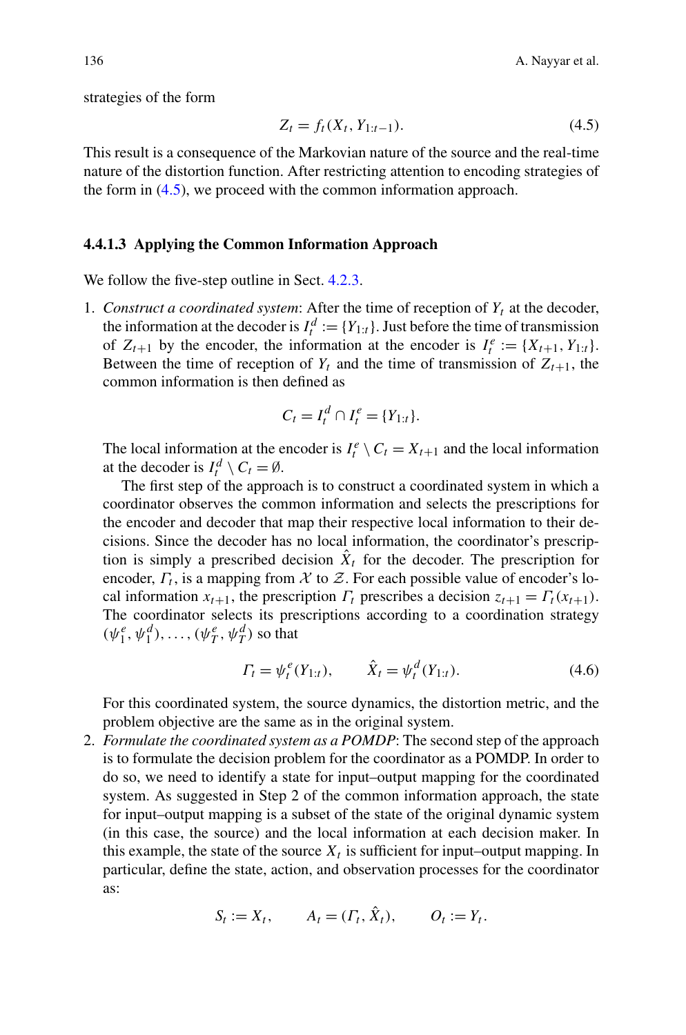strategies of the form

<span id="page-13-0"></span>
$$
Z_t = f_t(X_t, Y_{1:t-1}).
$$
\n(4.5)

This result is a consequence of the Markovian nature of the source and the real-time nature of the distortion function. After restricting attention to encoding strategies of the form in ([4.5](#page-13-0)), we proceed with the common information approach.

#### **4.4.1.3 Applying the Common Information Approach**

We follow the five-step outline in Sect. [4.2.3](#page-8-1).

1. *Construct a coordinated system*: After the time of reception of  $Y_t$  at the decoder, the information at the decoder is  $I_t^d := \{Y_{1:t}\}\)$ . Just before the time of transmission of  $Z_{t+1}$  by the encoder, the information at the encoder is  $I_t^e := \{X_{t+1}, Y_{1:t}\}.$ Between the time of reception of  $Y_t$  and the time of transmission of  $Z_{t+1}$ , the common information is then defined as

<span id="page-13-1"></span>
$$
C_t = I_t^d \cap I_t^e = \{Y_{1:t}\}.
$$

The local information at the encoder is  $I_t^e \setminus C_t = X_{t+1}$  and the local information at the decoder is  $I_t^d \setminus C_t = \emptyset$ .

The first step of the approach is to construct a coordinated system in which a coordinator observes the common information and selects the prescriptions for the encoder and decoder that map their respective local information to their decisions. Since the decoder has no local information, the coordinator's prescription is simply a prescribed decision  $\hat{X}_t$  for the decoder. The prescription for encoder,  $\Gamma_t$ , is a mapping from  $\mathcal X$  to  $\mathcal Z$ . For each possible value of encoder's local information  $x_{t+1}$ , the prescription  $\Gamma_t$  prescribes a decision  $z_{t+1} = \Gamma_t(x_{t+1})$ . The coordinator selects its prescriptions according to a coordination strategy  $(\psi_1^e, \psi_1^d), \ldots, (\psi_T^e, \psi_T^d)$  so that

$$
\Gamma_t = \psi_t^e(Y_{1:t}), \qquad \hat{X}_t = \psi_t^d(Y_{1:t}). \tag{4.6}
$$

For this coordinated system, the source dynamics, the distortion metric, and the problem objective are the same as in the original system.

2. *Formulate the coordinated system as a POMDP*: The second step of the approach is to formulate the decision problem for the coordinator as a POMDP. In order to do so, we need to identify a state for input–output mapping for the coordinated system. As suggested in Step 2 of the common information approach, the state for input–output mapping is a subset of the state of the original dynamic system (in this case, the source) and the local information at each decision maker. In this example, the state of the source  $X_t$  is sufficient for input–output mapping. In particular, define the state, action, and observation processes for the coordinator as:

$$
S_t := X_t, \qquad A_t = (\Gamma_t, \hat{X}_t), \qquad O_t := Y_t.
$$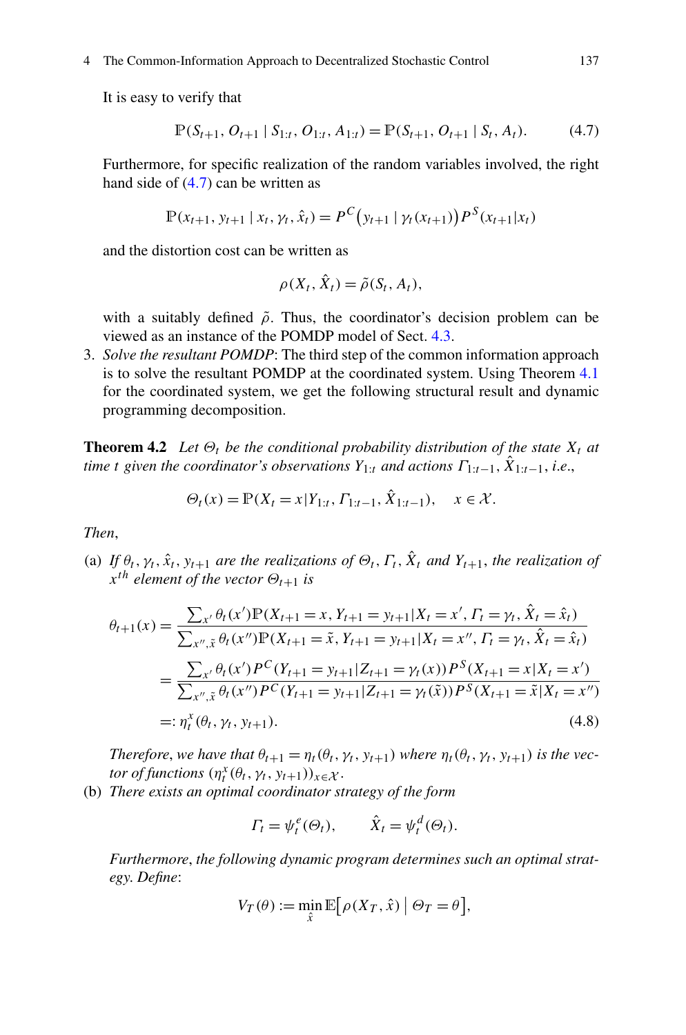It is easy to verify that

<span id="page-14-0"></span>
$$
\mathbb{P}(S_{t+1}, O_{t+1} | S_{1:t}, O_{1:t}, A_{1:t}) = \mathbb{P}(S_{t+1}, O_{t+1} | S_t, A_t). \tag{4.7}
$$

Furthermore, for specific realization of the random variables involved, the right hand side of  $(4.7)$  $(4.7)$  $(4.7)$  can be written as

$$
\mathbb{P}(x_{t+1}, y_{t+1} | x_t, \gamma_t, \hat{x}_t) = P^C(y_{t+1} | \gamma_t(x_{t+1})) P^S(x_{t+1} | x_t)
$$

and the distortion cost can be written as

$$
\rho(X_t, \hat{X}_t) = \tilde{\rho}(S_t, A_t),
$$

<span id="page-14-1"></span>with a suitably defined  $\tilde{\rho}$ . Thus, the coordinator's decision problem can be viewed as an instance of the POMDP model of Sect. [4.3](#page-9-0).

3. *Solve the resultant POMDP*: The third step of the common information approach is to solve the resultant POMDP at the coordinated system. Using Theorem [4.1](#page-10-0) for the coordinated system, we get the following structural result and dynamic programming decomposition.

**Theorem 4.2** Let  $\Theta_t$  be the conditional probability distribution of the state  $X_t$  at *time* t given the coordinator's observations  $Y_{1:t}$  and actions  $\Gamma_{1:t-1}$ ,  $\hat{X}_{1:t-1}$ , *i.e.*,

<span id="page-14-2"></span>
$$
\Theta_t(x) = \mathbb{P}(X_t = x | Y_{1:t}, \Gamma_{1:t-1}, \hat{X}_{1:t-1}), \quad x \in \mathcal{X}.
$$

*Then*,

(a) If  $\theta_t$ ,  $\gamma_t$ ,  $\hat{x}_t$ ,  $y_{t+1}$  are the realizations of  $\Theta_t$ ,  $\Gamma_t$ ,  $\hat{X}_t$  and  $Y_{t+1}$ , the realization of  $x^{th}$  element of the vector  $\Theta_{t+1}$  is

$$
\theta_{t+1}(x) = \frac{\sum_{x'} \theta_t(x') \mathbb{P}(X_{t+1} = x, Y_{t+1} = y_{t+1} | X_t = x', \Gamma_t = \gamma_t, \hat{X}_t = \hat{x}_t)}{\sum_{x'', \tilde{x}} \theta_t(x'') \mathbb{P}(X_{t+1} = \tilde{x}, Y_{t+1} = y_{t+1} | X_t = x'', \Gamma_t = \gamma_t, \hat{X}_t = \hat{x}_t)}
$$
\n
$$
= \frac{\sum_{x'} \theta_t(x') P^C(Y_{t+1} = y_{t+1} | Z_{t+1} = \gamma_t(x)) P^S(X_{t+1} = x | X_t = x')}{\sum_{x'', \tilde{x}} \theta_t(x'') P^C(Y_{t+1} = y_{t+1} | Z_{t+1} = \gamma_t(\tilde{x})) P^S(X_{t+1} = \tilde{x} | X_t = x'')}
$$
\n
$$
=: \eta_t^x(\theta_t, \gamma_t, y_{t+1}). \tag{4.8}
$$

*Therefore, we have that*  $\theta_{t+1} = \eta_t(\theta_t, \gamma_t, y_{t+1})$  *where*  $\eta_t(\theta_t, \gamma_t, y_{t+1})$  *is the vector of functions*  $(\eta_t^x(\theta_t, \gamma_t, y_{t+1}))_{x \in \mathcal{X}}$ .

(b) *There exists an optimal coordinator strategy of the form*

$$
\Gamma_t = \psi_t^e(\Theta_t), \qquad \hat{X}_t = \psi_t^d(\Theta_t).
$$

*Furthermore*, *the following dynamic program determines such an optimal strategy*. *Define*:

$$
V_T(\theta) := \min_{\hat{x}} \mathbb{E}[\rho(X_T, \hat{x}) | \Theta_T = \theta],
$$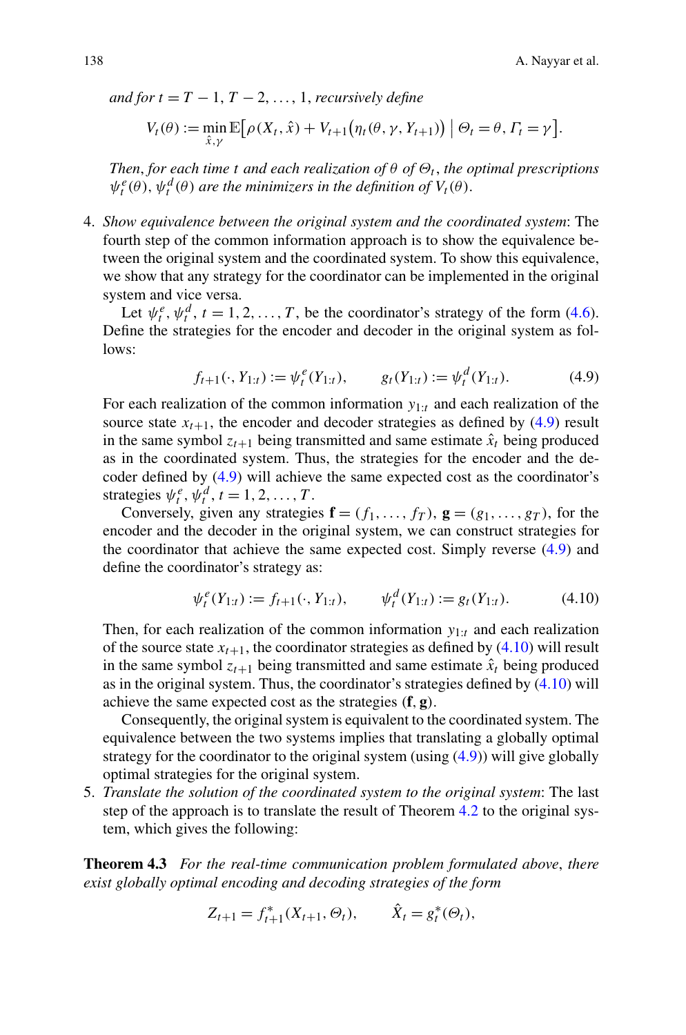*and for*  $t = T - 1, T - 2, ..., 1$ , *recursively define* 

$$
V_t(\theta) := \min_{\hat{x}, \gamma} \mathbb{E} \big[ \rho(X_t, \hat{x}) + V_{t+1} \big( \eta_t(\theta, \gamma, Y_{t+1}) \big) \big| \Theta_t = \theta, \Gamma_t = \gamma \big].
$$

*Then, for each time t and each realization of*  $\theta$  *of*  $\Theta_t$ *, the optimal prescriptions*  $\psi_t^e(\theta)$ ,  $\psi_t^d(\theta)$  are the minimizers in the definition of  $V_t(\theta)$ .

4. *Show equivalence between the original system and the coordinated system*: The fourth step of the common information approach is to show the equivalence between the original system and the coordinated system. To show this equivalence, we show that any strategy for the coordinator can be implemented in the original system and vice versa.

Let  $\psi_t^e$ ,  $\psi_t^d$ ,  $t = 1, 2, ..., T$ , be the coordinator's strategy of the form [\(4.6\)](#page-13-1). Define the strategies for the encoder and decoder in the original system as follows:

<span id="page-15-1"></span><span id="page-15-0"></span>
$$
f_{t+1}(\cdot, Y_{1:t}) := \psi_t^e(Y_{1:t}), \qquad g_t(Y_{1:t}) := \psi_t^d(Y_{1:t}). \tag{4.9}
$$

For each realization of the common information  $y_{1:t}$  and each realization of the source state  $x_{t+1}$ , the encoder and decoder strategies as defined by [\(4.9\)](#page-15-0) result in the same symbol  $z_{t+1}$  being transmitted and same estimate  $\hat{x}_t$  being produced as in the coordinated system. Thus, the strategies for the encoder and the decoder defined by [\(4.9](#page-15-0)) will achieve the same expected cost as the coordinator's strategies  $\psi_t^e$ ,  $\psi_t^d$ ,  $t = 1, 2, ..., T$ .

Conversely, given any strategies  $\mathbf{f} = (f_1, \ldots, f_T)$ ,  $\mathbf{g} = (g_1, \ldots, g_T)$ , for the encoder and the decoder in the original system, we can construct strategies for the coordinator that achieve the same expected cost. Simply reverse ([4.9](#page-15-0)) and define the coordinator's strategy as:

$$
\psi_t^e(Y_{1:t}) := f_{t+1}(\cdot, Y_{1:t}), \qquad \psi_t^d(Y_{1:t}) := g_t(Y_{1:t}). \tag{4.10}
$$

Then, for each realization of the common information  $y_{1:t}$  and each realization of the source state  $x_{t+1}$ , the coordinator strategies as defined by ([4.10](#page-15-1)) will result in the same symbol  $z_{t+1}$  being transmitted and same estimate  $\hat{x}_t$  being produced as in the original system. Thus, the coordinator's strategies defined by [\(4.10](#page-15-1)) will achieve the same expected cost as the strategies (**f**, **g**).

<span id="page-15-2"></span>Consequently, the original system is equivalent to the coordinated system. The equivalence between the two systems implies that translating a globally optimal strategy for the coordinator to the original system (using  $(4.9)$  $(4.9)$  $(4.9)$ ) will give globally optimal strategies for the original system.

5. *Translate the solution of the coordinated system to the original system*: The last step of the approach is to translate the result of Theorem [4.2](#page-14-1) to the original system, which gives the following:

**Theorem 4.3** *For the real-time communication problem formulated above*, *there exist globally optimal encoding and decoding strategies of the form*

$$
Z_{t+1} = f_{t+1}^*(X_{t+1}, \Theta_t), \qquad \hat{X}_t = g_t^*(\Theta_t),
$$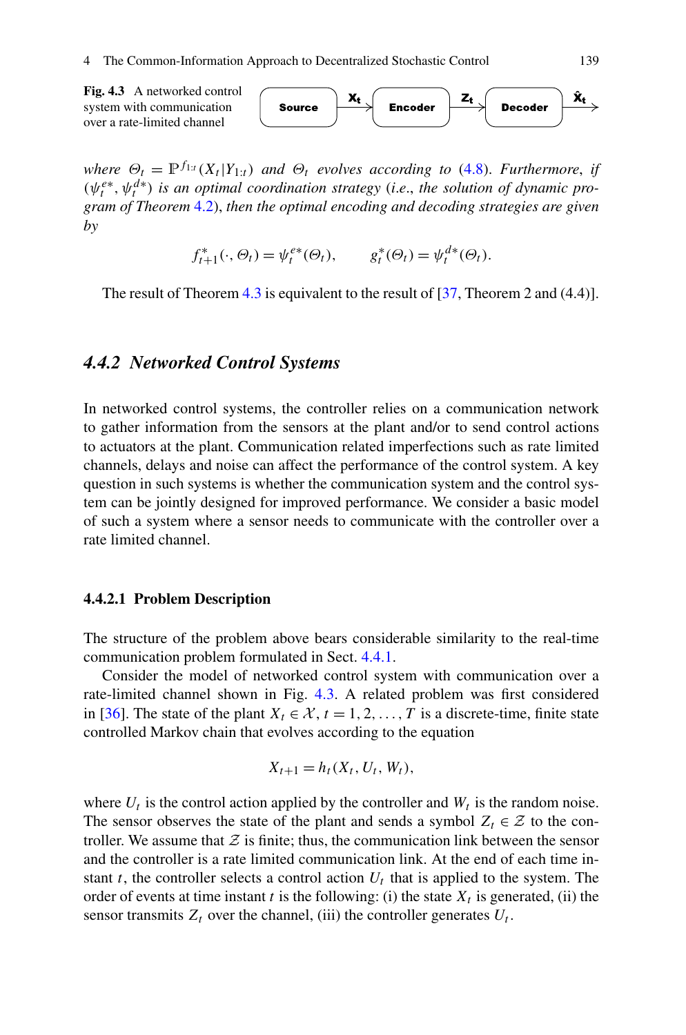<span id="page-16-0"></span>

*where*  $\Theta_t = \mathbb{P}^{f_{1:t}}(X_t|Y_{1:t})$  *and*  $\Theta_t$  *evolves according to* ([4.8\)](#page-14-2). *Furthermore, if* (ψe<sup>∗</sup> t , ψd<sup>∗</sup> t ) *is an optimal coordination strategy* (*i*.*e*., *the solution of dynamic program of Theorem* [4.2](#page-14-1)), *then the optimal encoding and decoding strategies are given by*

$$
f_{t+1}^*(\cdot, \Theta_t) = \psi_t^{e^*}(\Theta_t), \qquad g_t^*(\Theta_t) = \psi_t^{d^*}(\Theta_t).
$$

The result of Theorem [4.3](#page-15-2) is equivalent to the result of [\[37](#page-33-3), Theorem 2 and (4.4)].

### *4.4.2 Networked Control Systems*

In networked control systems, the controller relies on a communication network to gather information from the sensors at the plant and/or to send control actions to actuators at the plant. Communication related imperfections such as rate limited channels, delays and noise can affect the performance of the control system. A key question in such systems is whether the communication system and the control system can be jointly designed for improved performance. We consider a basic model of such a system where a sensor needs to communicate with the controller over a rate limited channel.

#### **4.4.2.1 Problem Description**

The structure of the problem above bears considerable similarity to the real-time communication problem formulated in Sect. [4.4.1](#page-11-1).

Consider the model of networked control system with communication over a rate-limited channel shown in Fig. [4.3](#page-16-0). A related problem was first considered in [\[36](#page-33-7)]. The state of the plant  $X_t \in \mathcal{X}, t = 1, 2, ..., T$  is a discrete-time, finite state controlled Markov chain that evolves according to the equation

$$
X_{t+1}=h_t(X_t,U_t,W_t),
$$

where  $U_t$  is the control action applied by the controller and  $W_t$  is the random noise. The sensor observes the state of the plant and sends a symbol  $Z_t \in \mathcal{Z}$  to the controller. We assume that  $\mathcal Z$  is finite; thus, the communication link between the sensor and the controller is a rate limited communication link. At the end of each time instant  $t$ , the controller selects a control action  $U_t$  that is applied to the system. The order of events at time instant t is the following: (i) the state  $X_t$  is generated, (ii) the sensor transmits  $Z_t$  over the channel, (iii) the controller generates  $U_t$ .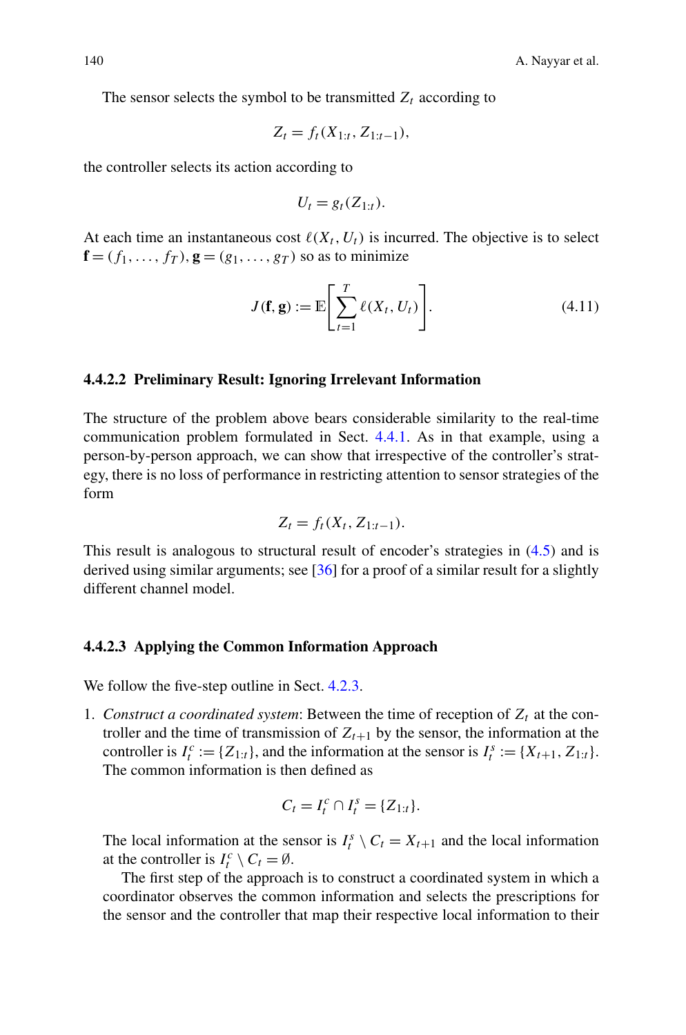The sensor selects the symbol to be transmitted  $Z_t$  according to

$$
Z_t = f_t(X_{1:t}, Z_{1:t-1}),
$$

the controller selects its action according to

$$
U_t = g_t(Z_{1:t}).
$$

At each time an instantaneous cost  $\ell(X_t, U_t)$  is incurred. The objective is to select  $f = (f_1, ..., f_T), g = (g_1, ..., g_T)$  so as to minimize

$$
J(\mathbf{f}, \mathbf{g}) := \mathbb{E}\Bigg[\sum_{t=1}^{T} \ell(X_t, U_t)\Bigg].
$$
 (4.11)

#### **4.4.2.2 Preliminary Result: Ignoring Irrelevant Information**

The structure of the problem above bears considerable similarity to the real-time communication problem formulated in Sect. [4.4.1](#page-11-1). As in that example, using a person-by-person approach, we can show that irrespective of the controller's strategy, there is no loss of performance in restricting attention to sensor strategies of the form

$$
Z_t = f_t(X_t, Z_{1:t-1}).
$$

This result is analogous to structural result of encoder's strategies in ([4.5](#page-13-0)) and is derived using similar arguments; see [[36\]](#page-33-7) for a proof of a similar result for a slightly different channel model.

#### **4.4.2.3 Applying the Common Information Approach**

We follow the five-step outline in Sect. [4.2.3](#page-8-1).

1. *Construct a coordinated system*: Between the time of reception of  $Z_t$  at the controller and the time of transmission of  $Z_{t+1}$  by the sensor, the information at the controller is  $I_t^c := \{Z_{1:t}\}\$ , and the information at the sensor is  $I_t^s := \{X_{t+1}, Z_{1:t}\}\$ . The common information is then defined as

$$
C_t = I_t^c \cap I_t^s = \{Z_{1:t}\}.
$$

The local information at the sensor is  $I_t^s \setminus C_t = X_{t+1}$  and the local information at the controller is  $I_t^c \setminus C_t = \emptyset$ .

The first step of the approach is to construct a coordinated system in which a coordinator observes the common information and selects the prescriptions for the sensor and the controller that map their respective local information to their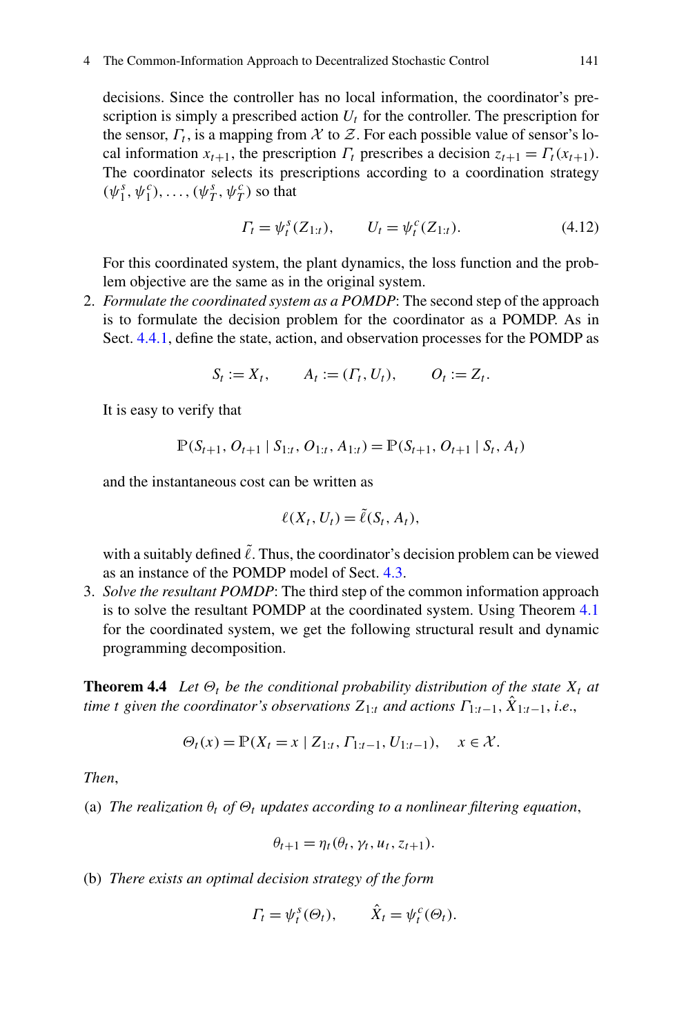#### 4 The Common-Information Approach to Decentralized Stochastic Control 141

decisions. Since the controller has no local information, the coordinator's prescription is simply a prescribed action  $U_t$  for the controller. The prescription for the sensor,  $\Gamma_t$ , is a mapping from  $\mathcal X$  to  $\mathcal Z$ . For each possible value of sensor's local information  $x_{t+1}$ , the prescription  $\Gamma_t$  prescribes a decision  $z_{t+1} = \Gamma_t(x_{t+1})$ . The coordinator selects its prescriptions according to a coordination strategy  $(\psi_1^s, \psi_1^c), \ldots, (\psi_T^s, \psi_T^c)$  so that

$$
\Gamma_t = \psi_t^s(Z_{1:t}), \qquad U_t = \psi_t^c(Z_{1:t}). \tag{4.12}
$$

For this coordinated system, the plant dynamics, the loss function and the problem objective are the same as in the original system.

2. *Formulate the coordinated system as a POMDP*: The second step of the approach is to formulate the decision problem for the coordinator as a POMDP. As in Sect. [4.4.1](#page-11-1), define the state, action, and observation processes for the POMDP as

$$
S_t := X_t, \qquad A_t := (\Gamma_t, U_t), \qquad O_t := Z_t.
$$

It is easy to verify that

$$
\mathbb{P}(S_{t+1}, O_{t+1} | S_{1:t}, O_{1:t}, A_{1:t}) = \mathbb{P}(S_{t+1}, O_{t+1} | S_t, A_t)
$$

and the instantaneous cost can be written as

$$
\ell(X_t, U_t) = \tilde{\ell}(S_t, A_t),
$$

<span id="page-18-0"></span>with a suitably defined  $\ell$ . Thus, the coordinator's decision problem can be viewed as an instance of the POMDP model of Sect. [4.3](#page-9-0).

3. *Solve the resultant POMDP*: The third step of the common information approach is to solve the resultant POMDP at the coordinated system. Using Theorem [4.1](#page-10-0) for the coordinated system, we get the following structural result and dynamic programming decomposition.

**Theorem 4.4** Let  $\Theta_t$  be the conditional probability distribution of the state  $X_t$  at *time* t given the coordinator's observations  $Z_{1:t}$  and actions  $\Gamma_{1:t-1}$ ,  $\hat{X}_{1:t-1}$ , *i.e.*,

$$
\Theta_t(x) = \mathbb{P}(X_t = x \mid Z_{1:t}, \Gamma_{1:t-1}, U_{1:t-1}), \quad x \in \mathcal{X}.
$$

*Then*,

(a) *The realization*  $\theta_t$  *of*  $\Theta_t$  *updates according to a nonlinear filtering equation,* 

$$
\theta_{t+1} = \eta_t(\theta_t, \gamma_t, u_t, z_{t+1}).
$$

(b) *There exists an optimal decision strategy of the form*

$$
\Gamma_t = \psi_t^s(\Theta_t), \qquad \hat{X}_t = \psi_t^c(\Theta_t).
$$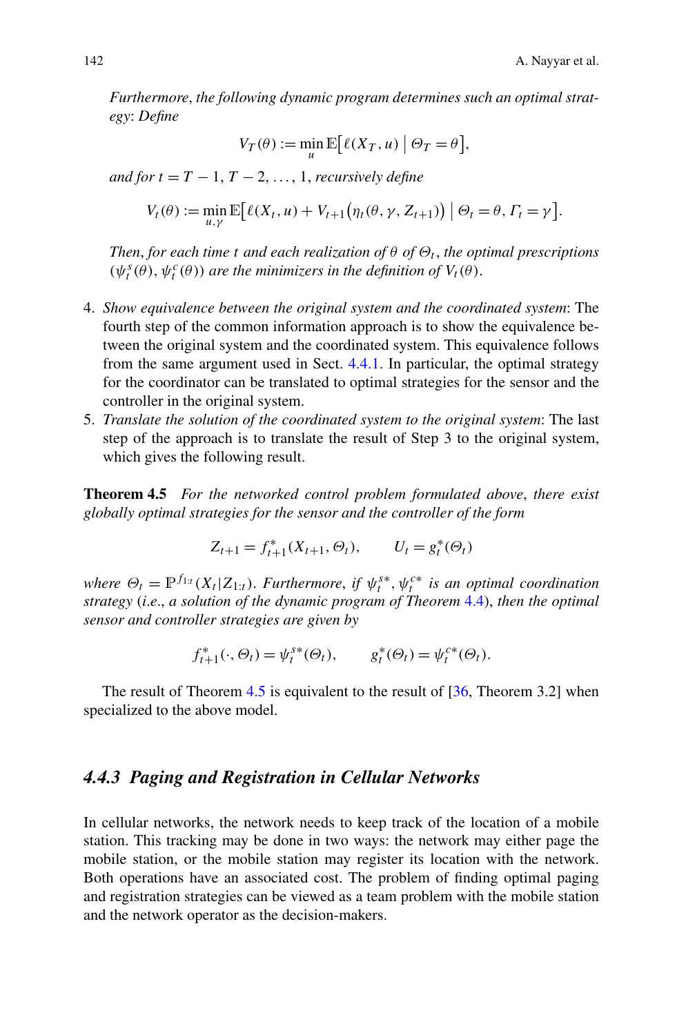*Furthermore*, *the following dynamic program determines such an optimal strategy*: *Define*

$$
V_T(\theta) := \min_{u} \mathbb{E} \big[ \ell(X_T, u) \mid \Theta_T = \theta \big],
$$

*and for*  $t = T - 1, T - 2, ..., 1$ , *recursively define* 

$$
V_t(\theta) := \min_{u,v} \mathbb{E}\big[\ell(X_t,u) + V_{t+1}\big(\eta_t(\theta,\gamma,Z_{t+1})\big) \mid \Theta_t = \theta, \Gamma_t = \gamma\big].
$$

*Then, for each time t and each realization of*  $\theta$  *of*  $\Theta_t$ *, the optimal prescriptions*  $(\psi_t^s(\theta), \psi_t^c(\theta))$  are the minimizers in the definition of  $V_t(\theta)$ .

- <span id="page-19-0"></span>4. *Show equivalence between the original system and the coordinated system*: The fourth step of the common information approach is to show the equivalence between the original system and the coordinated system. This equivalence follows from the same argument used in Sect. [4.4.1](#page-11-1). In particular, the optimal strategy for the coordinator can be translated to optimal strategies for the sensor and the controller in the original system.
- 5. *Translate the solution of the coordinated system to the original system*: The last step of the approach is to translate the result of Step 3 to the original system, which gives the following result.

**Theorem 4.5** *For the networked control problem formulated above*, *there exist globally optimal strategies for the sensor and the controller of the form*

$$
Z_{t+1} = f_{t+1}^*(X_{t+1}, \Theta_t), \qquad U_t = g_t^*(\Theta_t)
$$

where  $\Theta_t = \mathbb{P}^{f_{1:t}}(X_t | Z_{1:t})$ . *Furthermore*, *if*  $\psi_t^{s*}$ ,  $\psi_t^{c*}$  *is an optimal coordination strategy* (*i*.*e*., *a solution of the dynamic program of Theorem* [4.4](#page-18-0)), *then the optimal sensor and controller strategies are given by*

$$
f_{t+1}^*(\cdot, \Theta_t) = \psi_t^{s*}(\Theta_t), \qquad g_t^*(\Theta_t) = \psi_t^{c*}(\Theta_t).
$$

The result of Theorem [4.5](#page-19-0) is equivalent to the result of [\[36](#page-33-7), Theorem 3.2] when specialized to the above model.

### *4.4.3 Paging and Registration in Cellular Networks*

In cellular networks, the network needs to keep track of the location of a mobile station. This tracking may be done in two ways: the network may either page the mobile station, or the mobile station may register its location with the network. Both operations have an associated cost. The problem of finding optimal paging and registration strategies can be viewed as a team problem with the mobile station and the network operator as the decision-makers.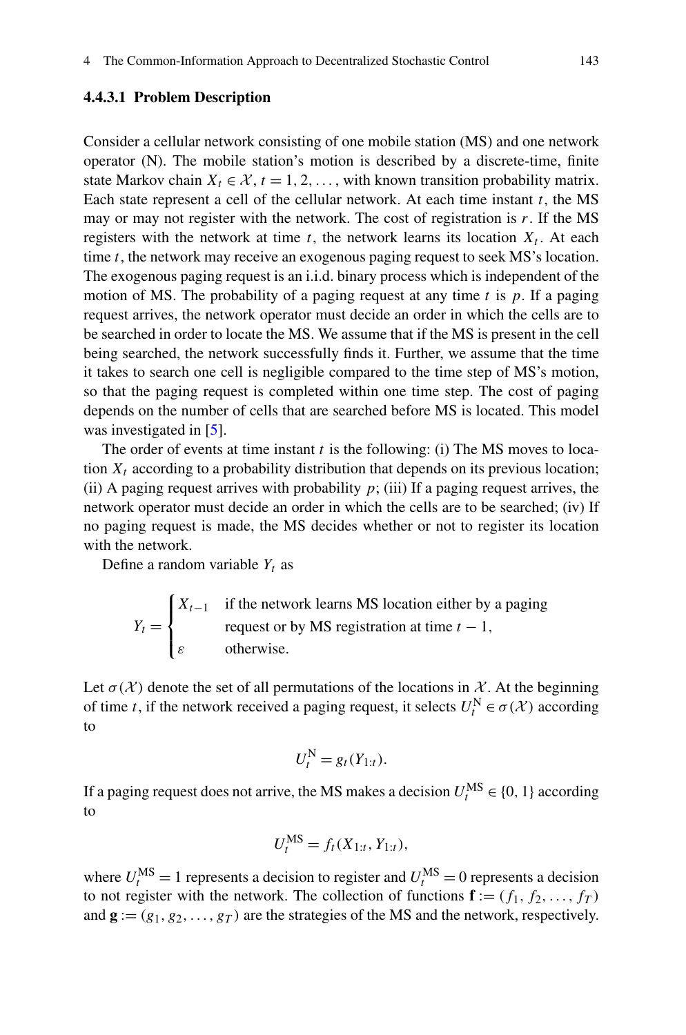#### **4.4.3.1 Problem Description**

Consider a cellular network consisting of one mobile station (MS) and one network operator (N). The mobile station's motion is described by a discrete-time, finite state Markov chain  $X_t \in \mathcal{X}, t = 1, 2, \ldots$ , with known transition probability matrix. Each state represent a cell of the cellular network. At each time instant  $t$ , the MS may or may not register with the network. The cost of registration is  $r$ . If the MS registers with the network at time  $t$ , the network learns its location  $X_t$ . At each time  $t$ , the network may receive an exogenous paging request to seek MS's location. The exogenous paging request is an i.i.d. binary process which is independent of the motion of MS. The probability of a paging request at any time  $t$  is  $p$ . If a paging request arrives, the network operator must decide an order in which the cells are to be searched in order to locate the MS. We assume that if the MS is present in the cell being searched, the network successfully finds it. Further, we assume that the time it takes to search one cell is negligible compared to the time step of MS's motion, so that the paging request is completed within one time step. The cost of paging depends on the number of cells that are searched before MS is located. This model was investigated in [\[5](#page-32-17)].

The order of events at time instant  $t$  is the following: (i) The MS moves to location  $X_t$  according to a probability distribution that depends on its previous location; (ii) A paging request arrives with probability  $p$ ; (iii) If a paging request arrives, the network operator must decide an order in which the cells are to be searched; (iv) If no paging request is made, the MS decides whether or not to register its location with the network.

Define a random variable  $Y_t$  as

$$
Y_t = \begin{cases} X_{t-1} & \text{if the network learns MS location either by a paging} \\ \text{request or by MS registration at time } t-1, \\ \varepsilon & \text{otherwise.} \end{cases}
$$

Let  $\sigma(\mathcal{X})$  denote the set of all permutations of the locations in  $\mathcal{X}$ . At the beginning of time *t*, if the network received a paging request, it selects  $U_t^N \in \sigma(\mathcal{X})$  according to

$$
U_t^{\mathbf{N}} = g_t(Y_{1:t}).
$$

If a paging request does not arrive, the MS makes a decision  $U_t^{\text{MS}} \in \{0, 1\}$  according to

$$
U_t^{\text{MS}} = f_t(X_{1:t}, Y_{1:t}),
$$

where  $U_t^{\text{MS}} = 1$  represents a decision to register and  $U_t^{\text{MS}} = 0$  represents a decision to not register with the network. The collection of functions  $\mathbf{f} := (f_1, f_2, \dots, f_T)$ and  $\mathbf{g} := (g_1, g_2, \dots, g_T)$  are the strategies of the MS and the network, respectively.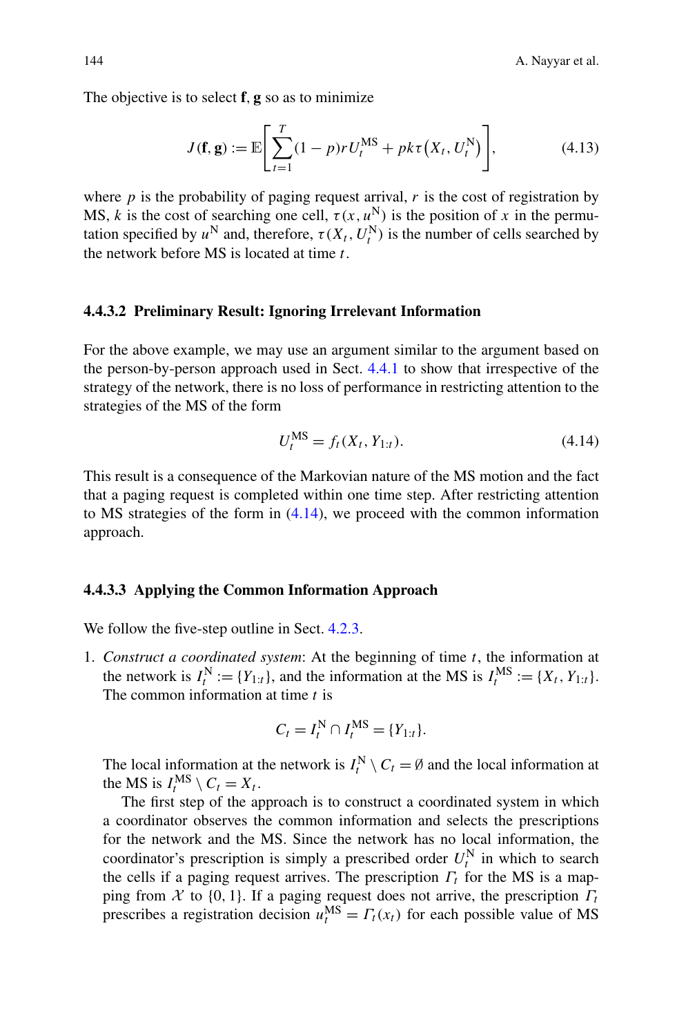The objective is to select **f**, **g** so as to minimize

$$
J(\mathbf{f}, \mathbf{g}) := \mathbb{E}\Bigg[\sum_{t=1}^{T} (1-p)rU_t^{\text{MS}} + pk\tau(X_t, U_t^{\text{N}})\Bigg],\tag{4.13}
$$

where  $p$  is the probability of paging request arrival,  $r$  is the cost of registration by MS, k is the cost of searching one cell,  $\tau(x, u^N)$  is the position of x in the permutation specified by  $u^N$  and, therefore,  $\tau(X_t, U_t^N)$  is the number of cells searched by the network before  $\overline{MS}$  is located at time  $t$ .

#### **4.4.3.2 Preliminary Result: Ignoring Irrelevant Information**

For the above example, we may use an argument similar to the argument based on the person-by-person approach used in Sect. [4.4.1](#page-11-1) to show that irrespective of the strategy of the network, there is no loss of performance in restricting attention to the strategies of the MS of the form

<span id="page-21-0"></span>
$$
U_t^{\text{MS}} = f_t(X_t, Y_{1:t}). \tag{4.14}
$$

This result is a consequence of the Markovian nature of the MS motion and the fact that a paging request is completed within one time step. After restricting attention to MS strategies of the form in  $(4.14)$ , we proceed with the common information approach.

#### **4.4.3.3 Applying the Common Information Approach**

We follow the five-step outline in Sect. [4.2.3](#page-8-1).

1. *Construct a coordinated system*: At the beginning of time t, the information at the network is  $I_t^N := \{Y_{1:t}\}\$ , and the information at the MS is  $I_t^{MS} := \{X_t, Y_{1:t}\}\$ . The common information at time  $t$  is

$$
C_t = I_t^N \cap I_t^{MS} = \{Y_{1:t}\}.
$$

The local information at the network is  $I_t^N \setminus C_t = \emptyset$  and the local information at the MS is  $I_t^{\text{MS}} \setminus C_t = X_t$ .

The first step of the approach is to construct a coordinated system in which a coordinator observes the common information and selects the prescriptions for the network and the MS. Since the network has no local information, the coordinator's prescription is simply a prescribed order  $U_t^N$  in which to search the cells if a paging request arrives. The prescription  $\Gamma_t$  for the MS is a mapping from  $X$  to {0, 1}. If a paging request does not arrive, the prescription  $\Gamma_t$ prescribes a registration decision  $u_t^{\text{MS}} = \Gamma_t(x_t)$  for each possible value of MS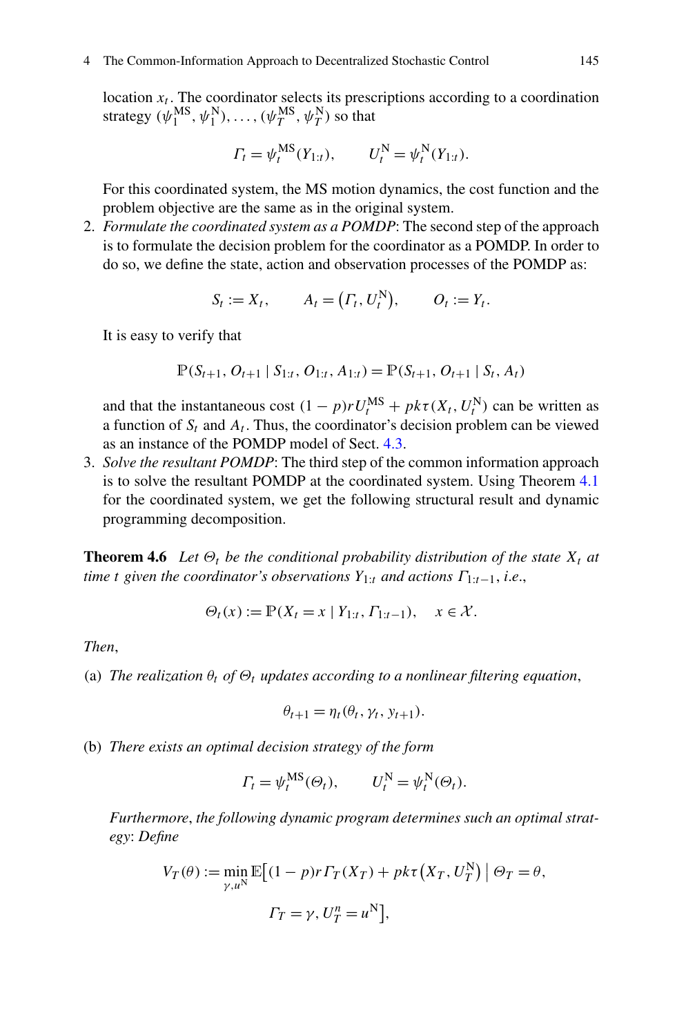location  $x_t$ . The coordinator selects its prescriptions according to a coordination strategy  $(\psi_1^{\text{MS}}, \psi_1^{\text{N}}), \dots, (\psi_T^{\text{MS}}, \psi_T^{\text{N}})$  so that

$$
\Gamma_t = \psi_t^{\text{MS}}(Y_{1:t}), \qquad U_t^{\text{N}} = \psi_t^{\text{N}}(Y_{1:t}).
$$

For this coordinated system, the MS motion dynamics, the cost function and the problem objective are the same as in the original system.

2. *Formulate the coordinated system as a POMDP*: The second step of the approach is to formulate the decision problem for the coordinator as a POMDP. In order to do so, we define the state, action and observation processes of the POMDP as:

$$
S_t := X_t, \qquad A_t = (F_t, U_t^N), \qquad O_t := Y_t.
$$

It is easy to verify that

$$
\mathbb{P}(S_{t+1}, O_{t+1} | S_{1:t}, O_{1:t}, A_{1:t}) = \mathbb{P}(S_{t+1}, O_{t+1} | S_t, A_t)
$$

<span id="page-22-0"></span>and that the instantaneous cost  $(1 - p)rU_t^{MS} + pk\tau(X_t, U_t^{N})$  can be written as a function of  $S_t$  and  $A_t$ . Thus, the coordinator's decision problem can be viewed as an instance of the POMDP model of Sect. [4.3](#page-9-0).

3. *Solve the resultant POMDP*: The third step of the common information approach is to solve the resultant POMDP at the coordinated system. Using Theorem [4.1](#page-10-0) for the coordinated system, we get the following structural result and dynamic programming decomposition.

**Theorem 4.6** Let  $\Theta_t$  be the conditional probability distribution of the state  $X_t$  at *time t* given the coordinator's observations  $Y_{1:t}$  and actions  $\Gamma_{1:t-1}$ , *i.e.*,

$$
\Theta_t(x) := \mathbb{P}(X_t = x \mid Y_{1:t}, \Gamma_{1:t-1}), \quad x \in \mathcal{X}.
$$

*Then*,

(a) *The realization*  $\theta_t$  *of*  $\Theta_t$  *updates according to a nonlinear filtering equation,* 

$$
\theta_{t+1} = \eta_t(\theta_t, \gamma_t, y_{t+1}).
$$

(b) *There exists an optimal decision strategy of the form*

$$
\Gamma_t = \psi_t^{\text{MS}}(\Theta_t), \qquad U_t^{\text{N}} = \psi_t^{\text{N}}(\Theta_t).
$$

*Furthermore*, *the following dynamic program determines such an optimal strategy*: *Define*

$$
V_T(\theta) := \min_{\gamma, u^N} \mathbb{E} \left[ (1 - p)r \Gamma_T(X_T) + p k \tau \left( X_T, U_T^N \right) \, \middle| \, \Theta_T = \theta,
$$
  

$$
\Gamma_T = \gamma, U_T^n = u^N \right],
$$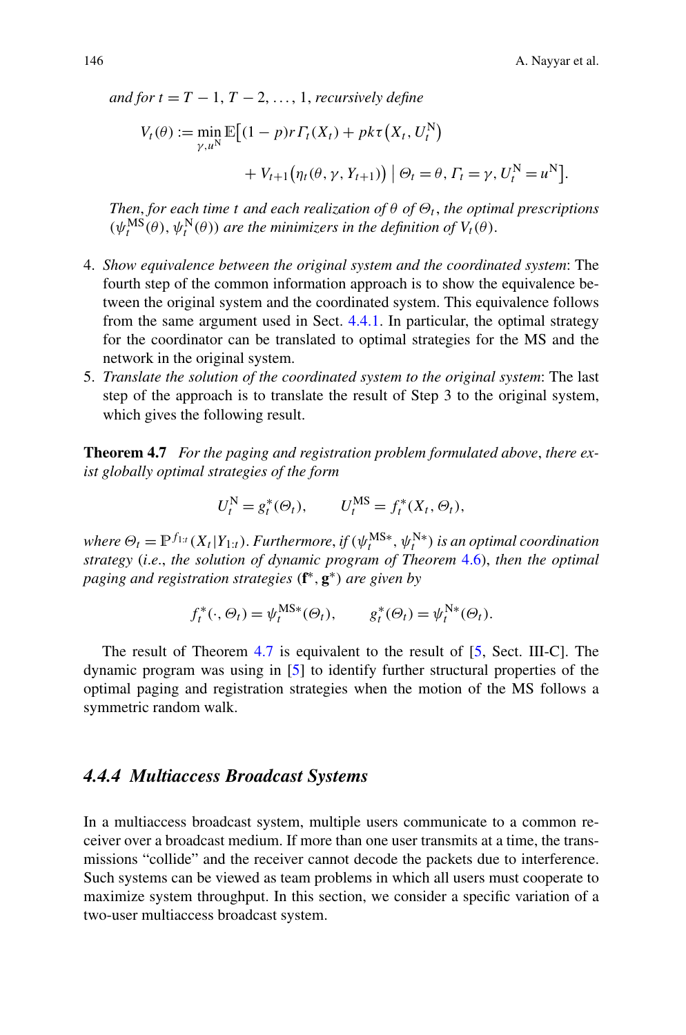*and for*  $t = T - 1, T - 2, ..., 1$ , *recursively define* 

$$
V_t(\theta) := \min_{\gamma, u^N} \mathbb{E} \Big[ (1 - p)r \Gamma_t(X_t) + pk \tau \Big(X_t, U_t^N\Big) + V_{t+1} \Big(\eta_t(\theta, \gamma, Y_{t+1})\Big) \Big| \Theta_t = \theta, \Gamma_t = \gamma, U_t^N = u^N \Big].
$$

*Then, for each time t and each realization of*  $\theta$  *of*  $\Theta_t$ *, the optimal prescriptions*  $(\psi_t^{\text{MS}}(\theta), \psi_t^{\text{N}}(\theta))$  are the minimizers in the definition of  $V_t(\theta)$ .

- <span id="page-23-0"></span>4. *Show equivalence between the original system and the coordinated system*: The fourth step of the common information approach is to show the equivalence between the original system and the coordinated system. This equivalence follows from the same argument used in Sect. [4.4.1](#page-11-1). In particular, the optimal strategy for the coordinator can be translated to optimal strategies for the MS and the network in the original system.
- 5. *Translate the solution of the coordinated system to the original system*: The last step of the approach is to translate the result of Step 3 to the original system, which gives the following result.

**Theorem 4.7** *For the paging and registration problem formulated above*, *there exist globally optimal strategies of the form*

$$
U_t^{\mathbf{N}} = g_t^*(\Theta_t), \qquad U_t^{\mathbf{MS}} = f_t^*(X_t, \Theta_t),
$$

where  $\Theta_t = \mathbb{P}^{f_{1:t}}(X_t|Y_{1:t})$ . *Furthermore*, *if*  $(\psi_t^{\text{MS}*}, \psi_t^{\text{N}*})$  *is an optimal coordination strategy* (*i*.*e*., *the solution of dynamic program of Theorem* [4.6\)](#page-22-0), *then the optimal paging and registration strategies* (**f** ∗ , **g** ∗ ) *are given by*

$$
f_t^*(\cdot, \Theta_t) = \psi_t^{\text{MS}*}(\Theta_t), \qquad g_t^*(\Theta_t) = \psi_t^{\text{N}*}(\Theta_t).
$$

The result of Theorem [4.7](#page-23-0) is equivalent to the result of [\[5](#page-32-17), Sect. III-C]. The dynamic program was using in [\[5\]](#page-32-17) to identify further structural properties of the optimal paging and registration strategies when the motion of the MS follows a symmetric random walk.

### *4.4.4 Multiaccess Broadcast Systems*

In a multiaccess broadcast system, multiple users communicate to a common receiver over a broadcast medium. If more than one user transmits at a time, the transmissions "collide" and the receiver cannot decode the packets due to interference. Such systems can be viewed as team problems in which all users must cooperate to maximize system throughput. In this section, we consider a specific variation of a two-user multiaccess broadcast system.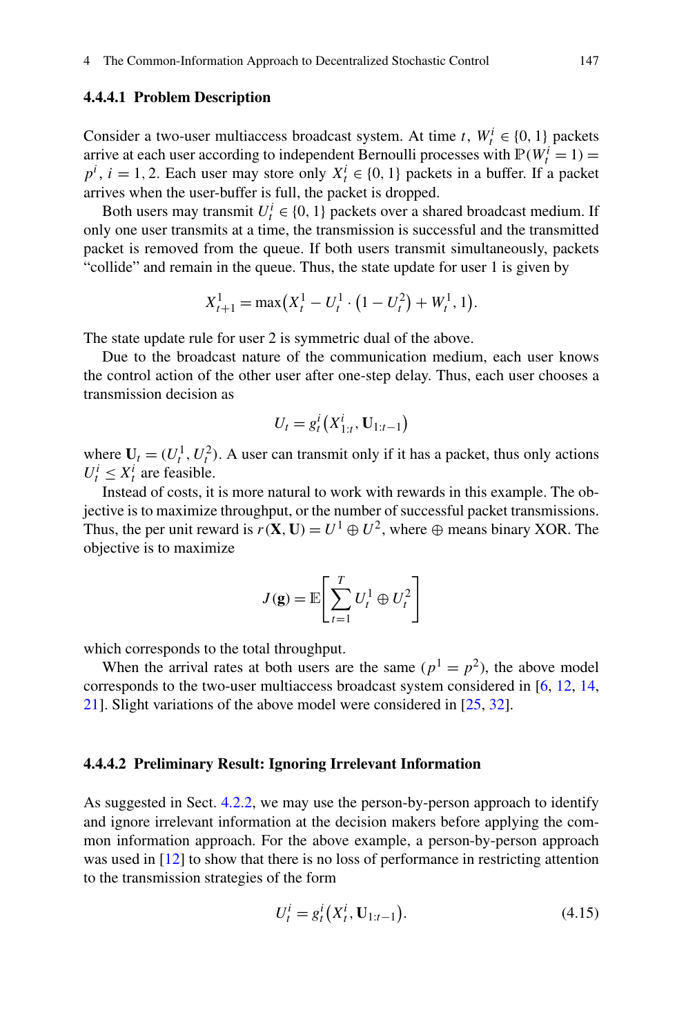#### **4.4.4.1 Problem Description**

Consider a two-user multiaccess broadcast system. At time t,  $W_t^i \in \{0, 1\}$  packets arrive at each user according to independent Bernoulli processes with  $P(W_t^i = 1)$  $p^i$ ,  $i = 1, 2$ . Each user may store only  $X_t^i \in \{0, 1\}$  packets in a buffer. If a packet arrives when the user-buffer is full, the packet is dropped.

Both users may transmit  $U_t^i \in \{0, 1\}$  packets over a shared broadcast medium. If only one user transmits at a time, the transmission is successful and the transmitted packet is removed from the queue. If both users transmit simultaneously, packets "collide" and remain in the queue. Thus, the state update for user 1 is given by

$$
X_{t+1}^1 = \max(X_t^1 - U_t^1 \cdot (1 - U_t^2) + W_t^1, 1).
$$

The state update rule for user 2 is symmetric dual of the above.

Due to the broadcast nature of the communication medium, each user knows the control action of the other user after one-step delay. Thus, each user chooses a transmission decision as

$$
U_t = g_t^i(X_{1:t}^i, \mathbf{U}_{1:t-1})
$$

where  $U_t = (U_t^1, U_t^2)$ . A user can transmit only if it has a packet, thus only actions  $U_t^i \leq X_t^i$  are feasible.

Instead of costs, it is more natural to work with rewards in this example. The objective is to maximize throughput, or the number of successful packet transmissions. Thus, the per unit reward is  $r(\mathbf{X}, \mathbf{U}) = U^1 \oplus U^2$ , where  $\oplus$  means binary XOR. The objective is to maximize

$$
J(\mathbf{g}) = \mathbb{E}\left[\sum_{t=1}^{T} U_t^1 \oplus U_t^2\right]
$$

which corresponds to the total throughput.

When the arrival rates at both users are the same  $(p^1 = p^2)$ , the above model corresponds to the two-user multiaccess broadcast system considered in [[6,](#page-32-18) [12,](#page-32-14) [14,](#page-32-15) [21\]](#page-32-19). Slight variations of the above model were considered in [[25,](#page-33-16) [32\]](#page-33-17).

#### **4.4.4.2 Preliminary Result: Ignoring Irrelevant Information**

As suggested in Sect. [4.2.2](#page-5-0), we may use the person-by-person approach to identify and ignore irrelevant information at the decision makers before applying the common information approach. For the above example, a person-by-person approach was used in [[12\]](#page-32-14) to show that there is no loss of performance in restricting attention to the transmission strategies of the form

<span id="page-24-0"></span>
$$
U_t^i = g_t^i(X_t^i, \mathbf{U}_{1:t-1}).
$$
\n(4.15)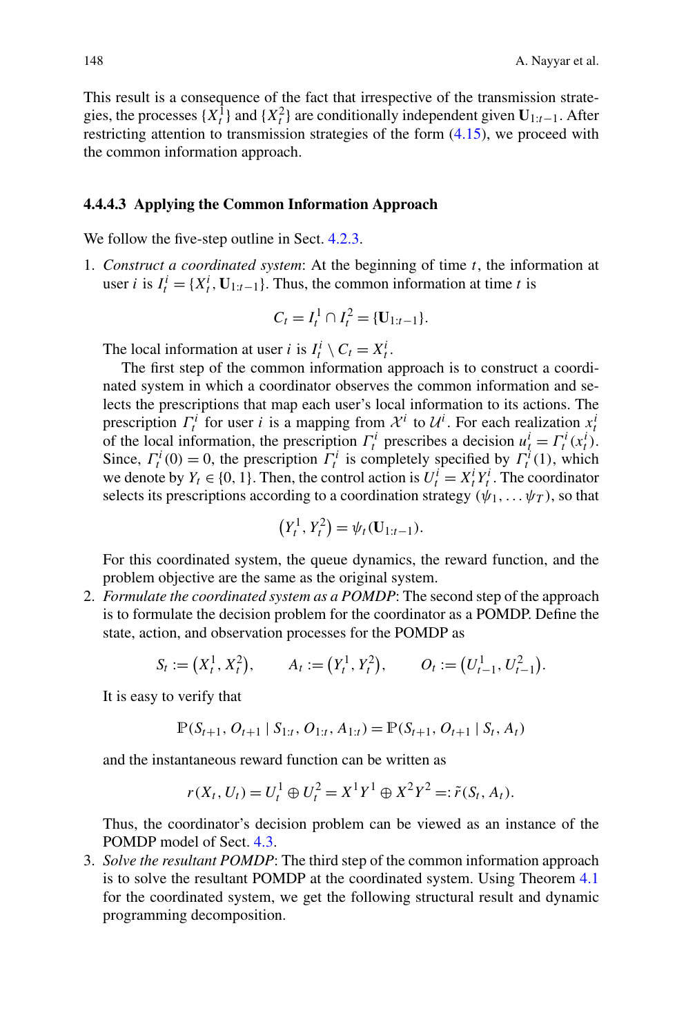This result is a consequence of the fact that irrespective of the transmission strategies, the processes  $\{X_t^1\}$  and  $\{X_t^2\}$  are conditionally independent given  $\mathbf{U}_{1:t-1}$ . After restricting attention to transmission strategies of the form [\(4.15\)](#page-24-0), we proceed with the common information approach.

#### **4.4.4.3 Applying the Common Information Approach**

We follow the five-step outline in Sect. [4.2.3](#page-8-1).

1. *Construct a coordinated system*: At the beginning of time t, the information at user *i* is  $I_t^i = \{X_t^i, \mathbf{U}_{1:t-1}\}$ . Thus, the common information at time *t* is

$$
C_t = I_t^1 \cap I_t^2 = \{ \mathbf{U}_{1:t-1} \}.
$$

The local information at user *i* is  $I_t^i \setminus C_t = X_t^i$ .

The first step of the common information approach is to construct a coordinated system in which a coordinator observes the common information and selects the prescriptions that map each user's local information to its actions. The prescription  $\Gamma_t^i$  for user i is a mapping from  $\mathcal{X}^i$  to  $\mathcal{U}^i$ . For each realization  $x_t^i$ of the local information, the prescription  $\Gamma_t^i$  prescribes a decision  $u_t^i = \Gamma_t^i(x_t^i)$ . Since,  $\Gamma_t^i(0) = 0$ , the prescription  $\Gamma_t^i$  is completely specified by  $\Gamma_t^i(1)$ , which we denote by  $Y_t \in \{0, 1\}$ . Then, the control action is  $U_t^i = X_t^i Y_t^i$ . The coordinator selects its prescriptions according to a coordination strategy  $(\psi_1, \dots \psi_T)$ , so that

$$
(Y_t^1, Y_t^2) = \psi_t(\mathbf{U}_{1:t-1}).
$$

For this coordinated system, the queue dynamics, the reward function, and the problem objective are the same as the original system.

2. *Formulate the coordinated system as a POMDP*: The second step of the approach is to formulate the decision problem for the coordinator as a POMDP. Define the state, action, and observation processes for the POMDP as

$$
S_t := (X_t^1, X_t^2), \qquad A_t := (Y_t^1, Y_t^2), \qquad O_t := (U_{t-1}^1, U_{t-1}^2).
$$

It is easy to verify that

$$
\mathbb{P}(S_{t+1}, O_{t+1} | S_{1:t}, O_{1:t}, A_{1:t}) = \mathbb{P}(S_{t+1}, O_{t+1} | S_t, A_t)
$$

and the instantaneous reward function can be written as

$$
r(X_t, U_t) = U_t^1 \oplus U_t^2 = X^1 Y^1 \oplus X^2 Y^2 =: \tilde{r}(S_t, A_t).
$$

Thus, the coordinator's decision problem can be viewed as an instance of the POMDP model of Sect. [4.3.](#page-9-0)

3. *Solve the resultant POMDP*: The third step of the common information approach is to solve the resultant POMDP at the coordinated system. Using Theorem [4.1](#page-10-0) for the coordinated system, we get the following structural result and dynamic programming decomposition.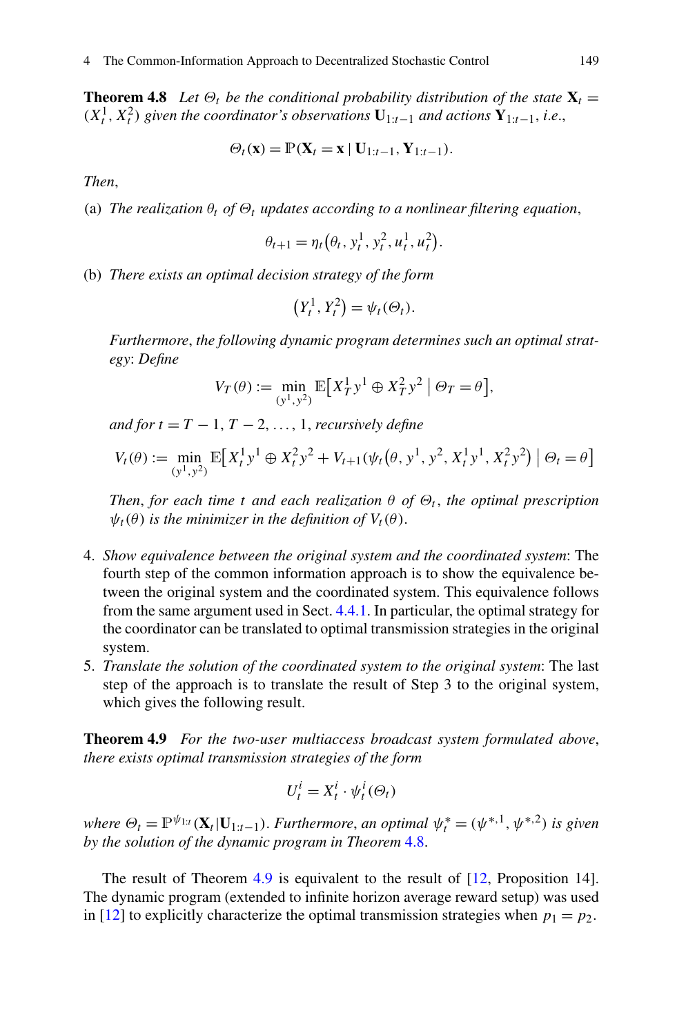<span id="page-26-0"></span>**Theorem 4.8** Let  $\Theta_t$  be the conditional probability distribution of the state  $X_t =$  $(X_t^1, X_t^2)$  given the coordinator's observations  $\mathbf{U}_{1:t-1}$  and actions  $\mathbf{Y}_{1:t-1}$ , *i.e.*,

$$
\Theta_t(\mathbf{x}) = \mathbb{P}(\mathbf{X}_t = \mathbf{x} \mid \mathbf{U}_{1:t-1}, \mathbf{Y}_{1:t-1}).
$$

*Then*,

(a) *The realization*  $\theta_t$  *of*  $\Theta_t$  *updates according to a nonlinear filtering equation,* 

$$
\theta_{t+1} = \eta_t(\theta_t, y_t^1, y_t^2, u_t^1, u_t^2).
$$

(b) *There exists an optimal decision strategy of the form*

$$
(Y_t^1, Y_t^2) = \psi_t(\Theta_t).
$$

*Furthermore*, *the following dynamic program determines such an optimal strategy*: *Define*

$$
V_T(\theta) := \min_{(y^1, y^2)} \mathbb{E}[X_T^1 y^1 \oplus X_T^2 y^2 | \Theta_T = \theta],
$$

*and for*  $t = T - 1, T - 2, ..., 1$ , *recursively define* 

$$
V_t(\theta) := \min_{(y^1, y^2)} \mathbb{E}\big[X_t^1 y^1 \oplus X_t^2 y^2 + V_{t+1}(\psi_t(\theta, y^1, y^2, X_t^1 y^1, X_t^2 y^2) \mid \Theta_t = \theta\big]
$$

*Then, for each time t and each realization*  $\theta$  *of*  $\Theta_t$ *, the optimal prescription*  $\psi_t(\theta)$  *is the minimizer in the definition of*  $V_t(\theta)$ .

- <span id="page-26-1"></span>4. *Show equivalence between the original system and the coordinated system*: The fourth step of the common information approach is to show the equivalence between the original system and the coordinated system. This equivalence follows from the same argument used in Sect. [4.4.1](#page-11-1). In particular, the optimal strategy for the coordinator can be translated to optimal transmission strategies in the original system.
- 5. *Translate the solution of the coordinated system to the original system*: The last step of the approach is to translate the result of Step 3 to the original system, which gives the following result.

**Theorem 4.9** *For the two-user multiaccess broadcast system formulated above*, *there exists optimal transmission strategies of the form*

$$
U_t^i = X_t^i \cdot \psi_t^i(\Theta_t)
$$

*where*  $\Theta_t = \mathbb{P}^{\psi_{1:t}}(\mathbf{X}_t | \mathbf{U}_{1:t-1})$ . *Furthermore*, *an optimal*  $\psi_t^* = (\psi^{*,1}, \psi^{*,2})$  *is given by the solution of the dynamic program in Theorem* [4.8](#page-26-0).

The result of Theorem [4.9](#page-26-1) is equivalent to the result of  $[12,$  $[12,$  Proposition 14]. The dynamic program (extended to infinite horizon average reward setup) was used in [\[12](#page-32-14)] to explicitly characterize the optimal transmission strategies when  $p_1 = p_2$ .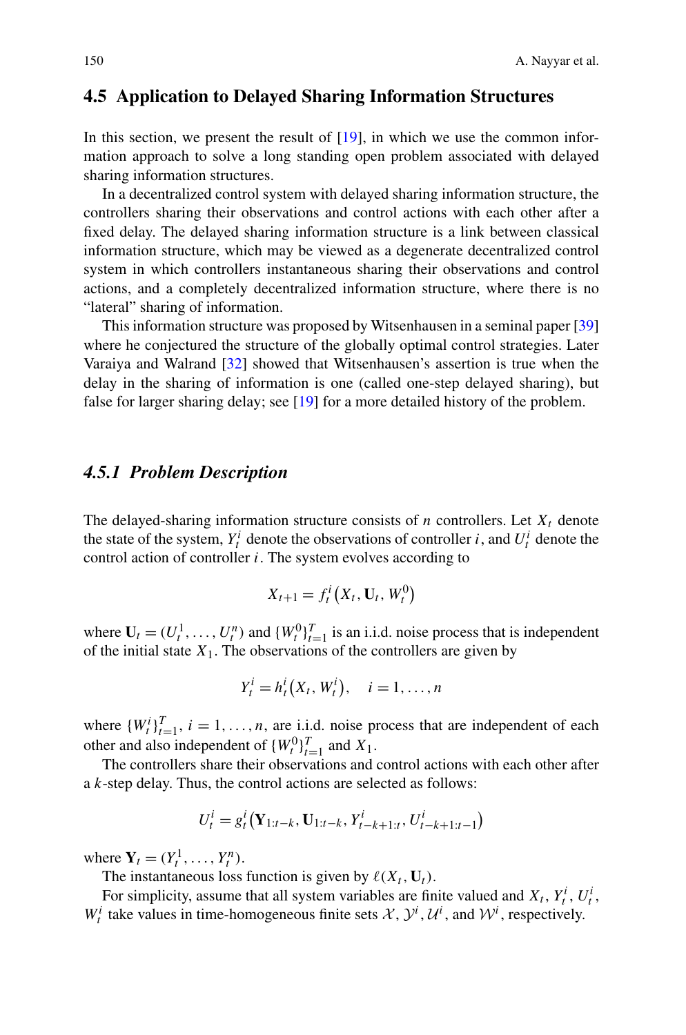## <span id="page-27-0"></span>**4.5 Application to Delayed Sharing Information Structures**

In this section, we present the result of  $[19]$ , in which we use the common information approach to solve a long standing open problem associated with delayed sharing information structures.

In a decentralized control system with delayed sharing information structure, the controllers sharing their observations and control actions with each other after a fixed delay. The delayed sharing information structure is a link between classical information structure, which may be viewed as a degenerate decentralized control system in which controllers instantaneous sharing their observations and control actions, and a completely decentralized information structure, where there is no "lateral" sharing of information.

This information structure was proposed by Witsenhausen in a seminal paper [\[39](#page-33-14)] where he conjectured the structure of the globally optimal control strategies. Later Varaiya and Walrand [[32\]](#page-33-17) showed that Witsenhausen's assertion is true when the delay in the sharing of information is one (called one-step delayed sharing), but false for larger sharing delay; see [[19\]](#page-32-12) for a more detailed history of the problem.

#### *4.5.1 Problem Description*

The delayed-sharing information structure consists of  $n$  controllers. Let  $X_t$  denote the state of the system,  $Y_t^i$  denote the observations of controller *i*, and  $U_t^i$  denote the control action of controller i. The system evolves according to

$$
X_{t+1} = f_t^i\left(X_t, \mathbf{U}_t, W_t^0\right)
$$

where  $U_t = (U_t^1, \dots, U_t^n)$  and  $\{W_t^0\}_{t=1}^T$  is an i.i.d. noise process that is independent of the initial state  $X_1$ . The observations of the controllers are given by

$$
Y_t^i = h_t^i(X_t, W_t^i), \quad i = 1, \ldots, n
$$

where  ${W_i^i}_{i=1}^T$ ,  $i = 1, \ldots, n$ , are i.i.d. noise process that are independent of each other and also independent of  $\{W_t^0\}_{t=1}^T$  and  $X_1$ .

The controllers share their observations and control actions with each other after a k-step delay. Thus, the control actions are selected as follows:

$$
U_t^i = g_t^i(\mathbf{Y}_{1:t-k}, \mathbf{U}_{1:t-k}, Y_{t-k+1:t}^i, U_{t-k+1:t-1}^i)
$$

where  $\mathbf{Y}_t = (Y_t^1, \dots, Y_t^n)$ .

The instantaneous loss function is given by  $\ell(X_t, U_t)$ .

For simplicity, assume that all system variables are finite valued and  $X_t$ ,  $Y_t^i$ ,  $U_t^i$ ,  $W_t^i$  take values in time-homogeneous finite sets  $\mathcal{X}, \mathcal{Y}^i, \mathcal{U}^i$ , and  $\mathcal{W}^i$ , respectively.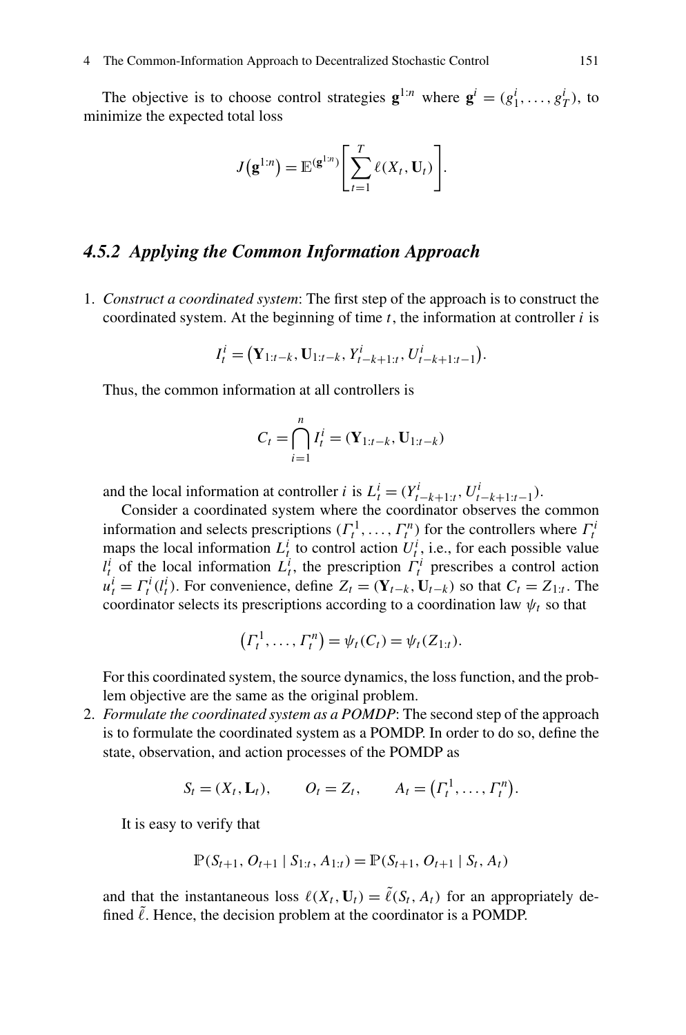The objective is to choose control strategies  $\mathbf{g}^{1:n}$  where  $\mathbf{g}^i = (g_1^i, \dots, g_T^i)$ , to minimize the expected total loss

$$
J(\mathbf{g}^{1:n}) = \mathbb{E}^{(\mathbf{g}^{1:n})} \left[ \sum_{t=1}^T \ell(X_t, \mathbf{U}_t) \right].
$$

### *4.5.2 Applying the Common Information Approach*

1. *Construct a coordinated system*: The first step of the approach is to construct the coordinated system. At the beginning of time  $t$ , the information at controller  $i$  is

$$
I_t^i = (\mathbf{Y}_{1:t-k}, \mathbf{U}_{1:t-k}, Y_{t-k+1:t}, U_{t-k+1:t-1}^i).
$$

Thus, the common information at all controllers is

$$
C_t = \bigcap_{i=1}^n I_t^i = (\mathbf{Y}_{1:t-k}, \mathbf{U}_{1:t-k})
$$

and the local information at controller *i* is  $L_t^i = (Y_{t-k+1:t}^i, U_{t-k+1:t-1}^i)$ .

Consider a coordinated system where the coordinator observes the common information and selects prescriptions  $(\Gamma_t^1, \ldots, \Gamma_t^n)$  for the controllers where  $\Gamma_t^i$ maps the local information  $L_t^i$  to control action  $U_t^i$ , i.e., for each possible value  $l_t^i$  of the local information  $L_t^i$ , the prescription  $\Gamma_t^i$  prescribes a control action  $u_t^i = \Gamma_t^i(l_t^i)$ . For convenience, define  $Z_t = (\mathbf{Y}_{t-k}, \mathbf{U}_{t-k})$  so that  $C_t = Z_{1:t}$ . The coordinator selects its prescriptions according to a coordination law  $\psi_t$  so that

$$
(\Gamma_t^1, \ldots, \Gamma_t^n) = \psi_t(C_t) = \psi_t(Z_{1:t}).
$$

For this coordinated system, the source dynamics, the loss function, and the problem objective are the same as the original problem.

2. *Formulate the coordinated system as a POMDP*: The second step of the approach is to formulate the coordinated system as a POMDP. In order to do so, define the state, observation, and action processes of the POMDP as

$$
S_t = (X_t, L_t),
$$
  $O_t = Z_t,$   $A_t = (\Gamma_t^1, ..., \Gamma_t^n).$ 

It is easy to verify that

$$
\mathbb{P}(S_{t+1}, O_{t+1} | S_{1:t}, A_{1:t}) = \mathbb{P}(S_{t+1}, O_{t+1} | S_t, A_t)
$$

and that the instantaneous loss  $\ell(X_t, \mathbf{U}_t) = \tilde{\ell}(S_t, A_t)$  for an appropriately defined  $\ell$ . Hence, the decision problem at the coordinator is a POMDP.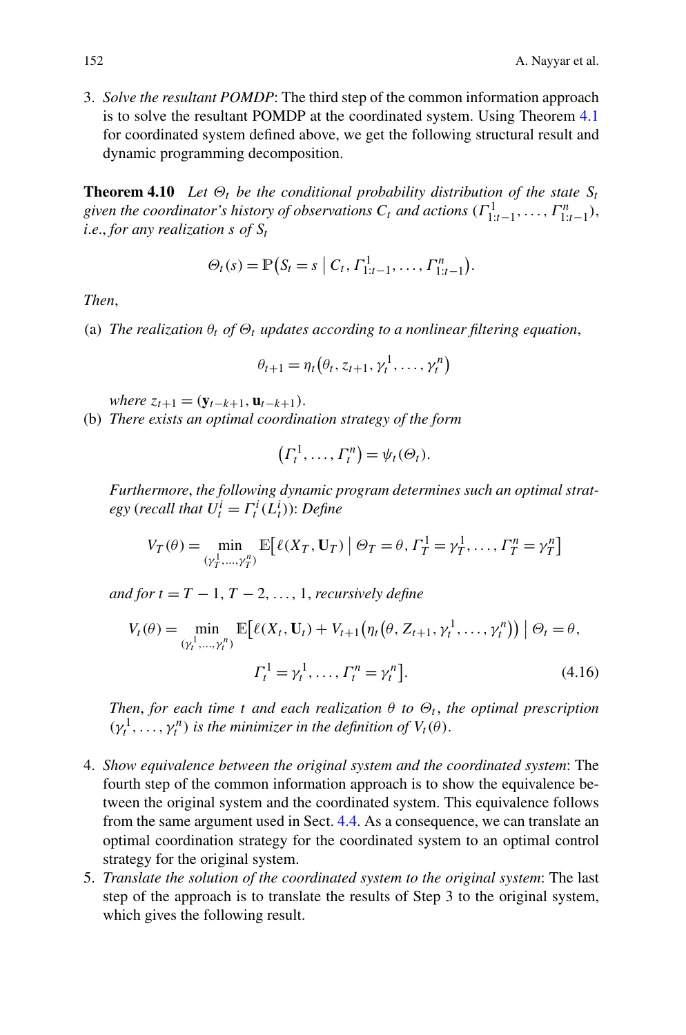<span id="page-29-0"></span>3. *Solve the resultant POMDP*: The third step of the common information approach is to solve the resultant POMDP at the coordinated system. Using Theorem [4.1](#page-10-0) for coordinated system defined above, we get the following structural result and dynamic programming decomposition.

**Theorem 4.10** Let  $\Theta_t$  be the conditional probability distribution of the state  $S_t$ given the coordinator's history of observations  $C_t$  and actions  $(\Gamma^1_{1:t-1}, \ldots, \Gamma^n_{1:t-1}),$ *i.e., for any realization* s of  $S_t$ 

$$
\Theta_t(s) = \mathbb{P}\big(S_t = s \mid C_t, \Gamma^1_{1:t-1}, \ldots, \Gamma^n_{1:t-1}\big).
$$

*Then*,

(a) *The realization*  $\theta_t$  *of*  $\Theta_t$  *updates according to a nonlinear filtering equation,* 

$$
\theta_{t+1} = \eta_t(\theta_t, z_{t+1}, \gamma_t^1, \ldots, \gamma_t^n)
$$

*where*  $z_{t+1} = (\mathbf{y}_{t-k+1}, \mathbf{u}_{t-k+1}).$ 

(b) *There exists an optimal coordination strategy of the form*

$$
\left(\Gamma_t^1,\ldots,\Gamma_t^n\right)=\psi_t(\Theta_t).
$$

*Furthermore*, *the following dynamic program determines such an optimal strategy* (*recall that*  $U_t^i = \Gamma_t^i(L_t^i)$ ): *Define* 

$$
V_T(\theta) = \min_{(\gamma_T^1, \dots, \gamma_T^n)} \mathbb{E}\big[\ell(X_T, \mathbf{U}_T) \mid \Theta_T = \theta, \Gamma_T^1 = \gamma_T^1, \dots, \Gamma_T^n = \gamma_T^n\big]
$$

*and for*  $t = T - 1, T - 2, ..., 1$ , *recursively define* 

$$
V_t(\theta) = \min_{(\gamma_t^1, ..., \gamma_t^n)} \mathbb{E} \big[ \ell(X_t, \mathbf{U}_t) + V_{t+1} \big( \eta_t \big( \theta, Z_{t+1}, \gamma_t^1, ..., \gamma_t^n \big) \big) \, \big| \, \Theta_t = \theta,
$$
  

$$
\Gamma_t^1 = \gamma_t^1, ..., \Gamma_t^n = \gamma_t^n \big].
$$
 (4.16)

*Then, for each time t and each realization*  $\theta$  *to*  $\Theta_t$ *, the optimal prescription*  $(\gamma_t^1, \ldots, \gamma_t^n)$  is the minimizer in the definition of  $V_t(\theta)$ .

- 4. *Show equivalence between the original system and the coordinated system*: The fourth step of the common information approach is to show the equivalence between the original system and the coordinated system. This equivalence follows from the same argument used in Sect. [4.4.](#page-11-0) As a consequence, we can translate an optimal coordination strategy for the coordinated system to an optimal control strategy for the original system.
- 5. *Translate the solution of the coordinated system to the original system*: The last step of the approach is to translate the results of Step 3 to the original system, which gives the following result.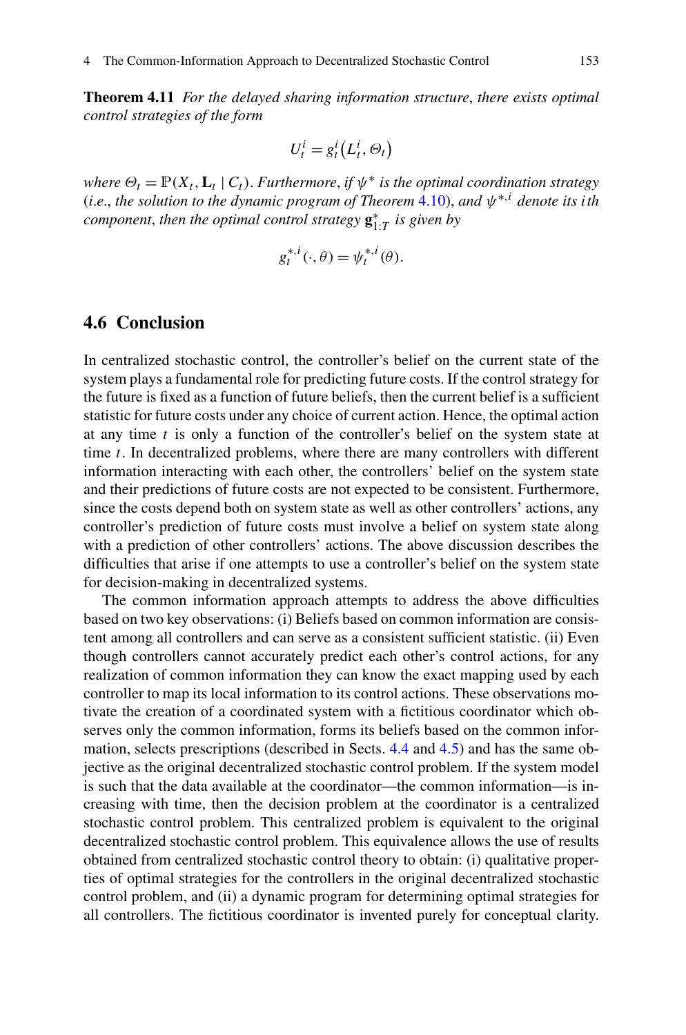**Theorem 4.11** *For the delayed sharing information structure*, *there exists optimal control strategies of the form*

$$
U_t^i = g_t^i(L_t^i, \Theta_t)
$$

<span id="page-30-0"></span>where  $\Theta_t = \mathbb{P}(X_t, L_t \mid C_t)$ . *Furthermore, if*  $\psi^*$  *is the optimal coordination strategy* (*i*.*e*., *the solution to the dynamic program of Theorem* [4.10\)](#page-29-0), *and* ψ <sup>∗</sup>,i *denote its* i*th component, then the optimal control strategy*  $\mathbf{g}_{1:T}^*$  *is given by* 

$$
g_t^{*,i}(\cdot,\theta) = \psi_t^{*,i}(\theta).
$$

### **4.6 Conclusion**

In centralized stochastic control, the controller's belief on the current state of the system plays a fundamental role for predicting future costs. If the control strategy for the future is fixed as a function of future beliefs, then the current belief is a sufficient statistic for future costs under any choice of current action. Hence, the optimal action at any time  $t$  is only a function of the controller's belief on the system state at time  $t$ . In decentralized problems, where there are many controllers with different information interacting with each other, the controllers' belief on the system state and their predictions of future costs are not expected to be consistent. Furthermore, since the costs depend both on system state as well as other controllers' actions, any controller's prediction of future costs must involve a belief on system state along with a prediction of other controllers' actions. The above discussion describes the difficulties that arise if one attempts to use a controller's belief on the system state for decision-making in decentralized systems.

The common information approach attempts to address the above difficulties based on two key observations: (i) Beliefs based on common information are consistent among all controllers and can serve as a consistent sufficient statistic. (ii) Even though controllers cannot accurately predict each other's control actions, for any realization of common information they can know the exact mapping used by each controller to map its local information to its control actions. These observations motivate the creation of a coordinated system with a fictitious coordinator which observes only the common information, forms its beliefs based on the common information, selects prescriptions (described in Sects. [4.4](#page-11-0) and [4.5](#page-27-0)) and has the same objective as the original decentralized stochastic control problem. If the system model is such that the data available at the coordinator—the common information—is increasing with time, then the decision problem at the coordinator is a centralized stochastic control problem. This centralized problem is equivalent to the original decentralized stochastic control problem. This equivalence allows the use of results obtained from centralized stochastic control theory to obtain: (i) qualitative properties of optimal strategies for the controllers in the original decentralized stochastic control problem, and (ii) a dynamic program for determining optimal strategies for all controllers. The fictitious coordinator is invented purely for conceptual clarity.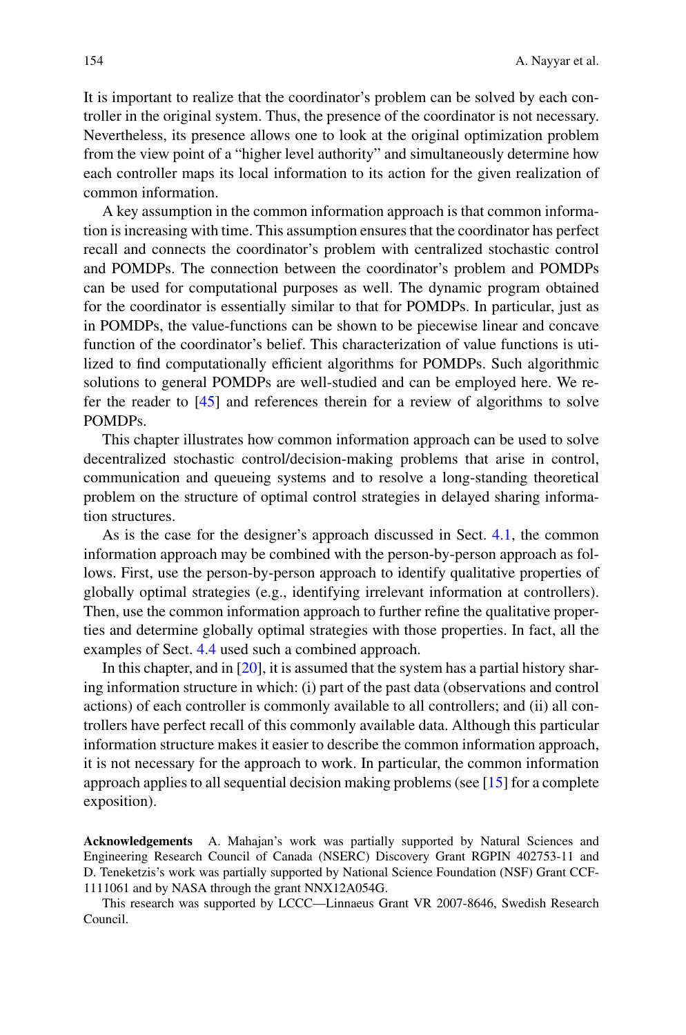It is important to realize that the coordinator's problem can be solved by each controller in the original system. Thus, the presence of the coordinator is not necessary. Nevertheless, its presence allows one to look at the original optimization problem from the view point of a "higher level authority" and simultaneously determine how each controller maps its local information to its action for the given realization of common information.

A key assumption in the common information approach is that common information is increasing with time. This assumption ensures that the coordinator has perfect recall and connects the coordinator's problem with centralized stochastic control and POMDPs. The connection between the coordinator's problem and POMDPs can be used for computational purposes as well. The dynamic program obtained for the coordinator is essentially similar to that for POMDPs. In particular, just as in POMDPs, the value-functions can be shown to be piecewise linear and concave function of the coordinator's belief. This characterization of value functions is utilized to find computationally efficient algorithms for POMDPs. Such algorithmic solutions to general POMDPs are well-studied and can be employed here. We refer the reader to [\[45](#page-33-18)] and references therein for a review of algorithms to solve POMDPs.

This chapter illustrates how common information approach can be used to solve decentralized stochastic control/decision-making problems that arise in control, communication and queueing systems and to resolve a long-standing theoretical problem on the structure of optimal control strategies in delayed sharing information structures.

As is the case for the designer's approach discussed in Sect. [4.1](#page-0-0), the common information approach may be combined with the person-by-person approach as follows. First, use the person-by-person approach to identify qualitative properties of globally optimal strategies (e.g., identifying irrelevant information at controllers). Then, use the common information approach to further refine the qualitative properties and determine globally optimal strategies with those properties. In fact, all the examples of Sect. [4.4](#page-11-0) used such a combined approach.

In this chapter, and in  $[20]$  $[20]$ , it is assumed that the system has a partial history sharing information structure in which: (i) part of the past data (observations and control actions) of each controller is commonly available to all controllers; and (ii) all controllers have perfect recall of this commonly available data. Although this particular information structure makes it easier to describe the common information approach, it is not necessary for the approach to work. In particular, the common information approach applies to all sequential decision making problems (see [[15\]](#page-32-16) for a complete exposition).

**Acknowledgements** A. Mahajan's work was partially supported by Natural Sciences and Engineering Research Council of Canada (NSERC) Discovery Grant RGPIN 402753-11 and D. Teneketzis's work was partially supported by National Science Foundation (NSF) Grant CCF-1111061 and by NASA through the grant NNX12A054G.

This research was supported by LCCC—Linnaeus Grant VR 2007-8646, Swedish Research Council.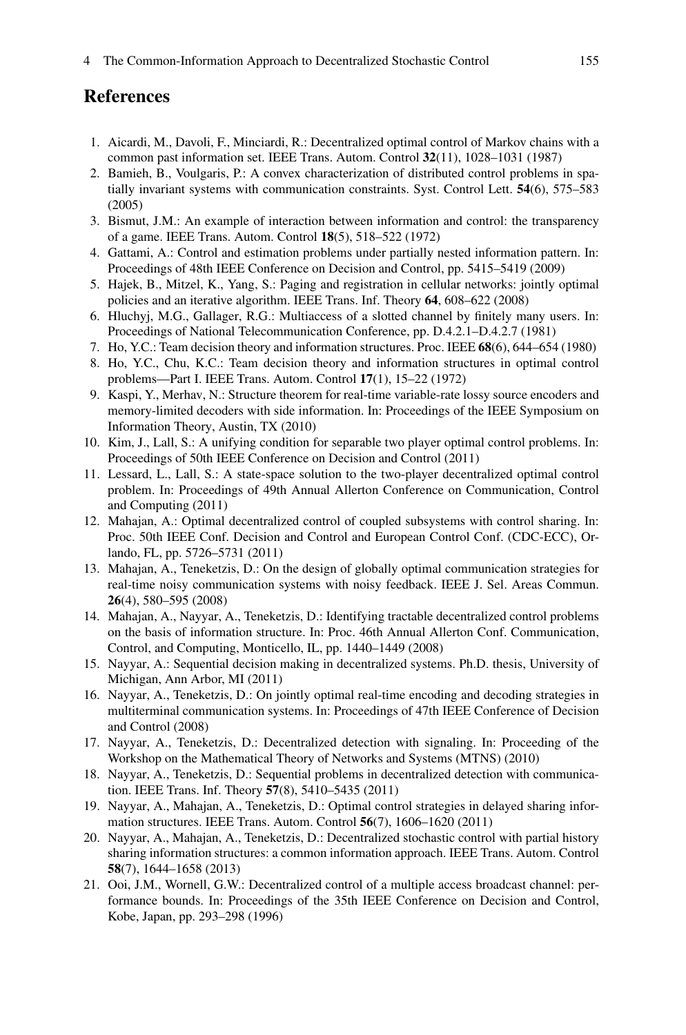## <span id="page-32-13"></span><span id="page-32-11"></span><span id="page-32-10"></span><span id="page-32-6"></span>**References**

- <span id="page-32-17"></span>1. Aicardi, M., Davoli, F., Minciardi, R.: Decentralized optimal control of Markov chains with a common past information set. IEEE Trans. Autom. Control **32**(11), 1028–1031 (1987)
- <span id="page-32-18"></span>2. Bamieh, B., Voulgaris, P.: A convex characterization of distributed control problems in spatially invariant systems with communication constraints. Syst. Control Lett. **54**(6), 575–583 (2005)
- <span id="page-32-7"></span><span id="page-32-5"></span>3. Bismut, J.M.: An example of interaction between information and control: the transparency of a game. IEEE Trans. Autom. Control **18**(5), 518–522 (1972)
- <span id="page-32-1"></span>4. Gattami, A.: Control and estimation problems under partially nested information pattern. In: Proceedings of 48th IEEE Conference on Decision and Control, pp. 5415–5419 (2009)
- <span id="page-32-8"></span>5. Hajek, B., Mitzel, K., Yang, S.: Paging and registration in cellular networks: jointly optimal policies and an iterative algorithm. IEEE Trans. Inf. Theory **64**, 608–622 (2008)
- <span id="page-32-9"></span>6. Hluchyj, M.G., Gallager, R.G.: Multiaccess of a slotted channel by finitely many users. In: Proceedings of National Telecommunication Conference, pp. D.4.2.1–D.4.2.7 (1981)
- 7. Ho, Y.C.: Team decision theory and information structures. Proc. IEEE **68**(6), 644–654 (1980)
- <span id="page-32-14"></span>8. Ho, Y.C., Chu, K.C.: Team decision theory and information structures in optimal control problems—Part I. IEEE Trans. Autom. Control **17**(1), 15–22 (1972)
- 9. Kaspi, Y., Merhav, N.: Structure theorem for real-time variable-rate lossy source encoders and memory-limited decoders with side information. In: Proceedings of the IEEE Symposium on Information Theory, Austin, TX (2010)
- <span id="page-32-2"></span>10. Kim, J., Lall, S.: A unifying condition for separable two player optimal control problems. In: Proceedings of 50th IEEE Conference on Decision and Control (2011)
- <span id="page-32-15"></span>11. Lessard, L., Lall, S.: A state-space solution to the two-player decentralized optimal control problem. In: Proceedings of 49th Annual Allerton Conference on Communication, Control and Computing (2011)
- <span id="page-32-16"></span>12. Mahajan, A.: Optimal decentralized control of coupled subsystems with control sharing. In: Proc. 50th IEEE Conf. Decision and Control and European Control Conf. (CDC-ECC), Orlando, FL, pp. 5726–5731 (2011)
- <span id="page-32-3"></span>13. Mahajan, A., Teneketzis, D.: On the design of globally optimal communication strategies for real-time noisy communication systems with noisy feedback. IEEE J. Sel. Areas Commun. **26**(4), 580–595 (2008)
- <span id="page-32-4"></span>14. Mahajan, A., Nayyar, A., Teneketzis, D.: Identifying tractable decentralized control problems on the basis of information structure. In: Proc. 46th Annual Allerton Conf. Communication, Control, and Computing, Monticello, IL, pp. 1440–1449 (2008)
- <span id="page-32-12"></span>15. Nayyar, A.: Sequential decision making in decentralized systems. Ph.D. thesis, University of Michigan, Ann Arbor, MI (2011)
- <span id="page-32-0"></span>16. Nayyar, A., Teneketzis, D.: On jointly optimal real-time encoding and decoding strategies in multiterminal communication systems. In: Proceedings of 47th IEEE Conference of Decision and Control (2008)
- <span id="page-32-19"></span>17. Nayyar, A., Teneketzis, D.: Decentralized detection with signaling. In: Proceeding of the Workshop on the Mathematical Theory of Networks and Systems (MTNS) (2010)
- 18. Nayyar, A., Teneketzis, D.: Sequential problems in decentralized detection with communication. IEEE Trans. Inf. Theory **57**(8), 5410–5435 (2011)
- 19. Nayyar, A., Mahajan, A., Teneketzis, D.: Optimal control strategies in delayed sharing information structures. IEEE Trans. Autom. Control **56**(7), 1606–1620 (2011)
- 20. Nayyar, A., Mahajan, A., Teneketzis, D.: Decentralized stochastic control with partial history sharing information structures: a common information approach. IEEE Trans. Autom. Control **58**(7), 1644–1658 (2013)
- 21. Ooi, J.M., Wornell, G.W.: Decentralized control of a multiple access broadcast channel: performance bounds. In: Proceedings of the 35th IEEE Conference on Decision and Control, Kobe, Japan, pp. 293–298 (1996)